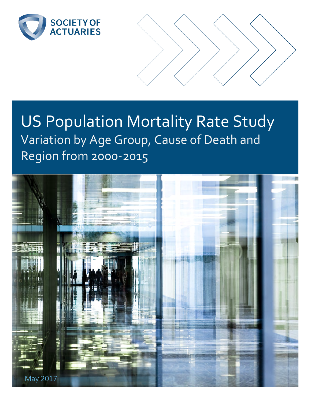

# US Population Mortality Rate Study Variation by Age Group, Cause of Death and Region from 2000-2015

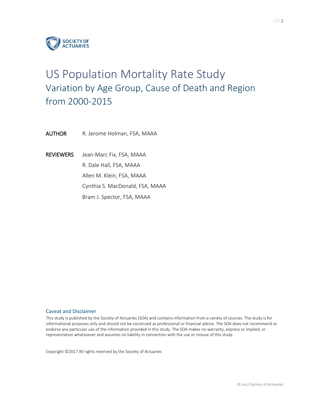

# US Population Mortality Rate Study Variation by Age Group, Cause of Death and Region from 2000-2015

AUTHOR R. Jerome Holman, FSA, MAAA

REVIEWERS Jean-Marc Fix, FSA, MAAA R. Dale Hall, FSA, MAAA Allen M. Klein, FSA, MAAA Cynthia S. MacDonald, FSA, MAAA Bram J. Spector, FSA, MAAA

#### Caveat and Disclaimer

This study is published by the Society of Actuaries (SOA) and contains information from a variety of sources. The study is for informational purposes only and should not be construed as professional or financial advice. The SOA does not recommend or endorse any particular use of the information provided in this study. The SOA makes no warranty, express or implied, or representation whatsoever and assumes no liability in connection with the use or misuse of this study.

Copyright ©2017 All rights reserved by the Society of Actuaries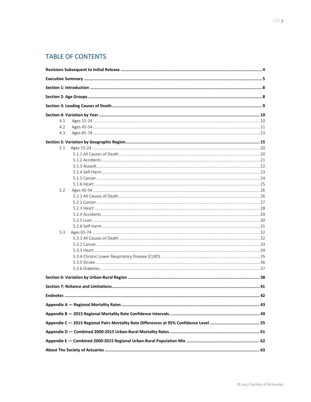# **TABLE OF CONTENTS**

| 4.1 |  |
|-----|--|
| 4.2 |  |
| 4.3 |  |
|     |  |
| 5.1 |  |
|     |  |
|     |  |
|     |  |
|     |  |
|     |  |
|     |  |
| 5.2 |  |
|     |  |
|     |  |
|     |  |
|     |  |
|     |  |
|     |  |
| 5.3 |  |
|     |  |
|     |  |
|     |  |
|     |  |
|     |  |
|     |  |
|     |  |
|     |  |
|     |  |
|     |  |
|     |  |
|     |  |
|     |  |
|     |  |
|     |  |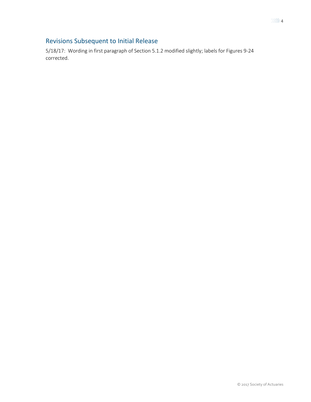## <span id="page-3-0"></span>Revisions Subsequent to Initial Release

5/18/17: Wording in first paragraph of Section 5.1.2 modified slightly; labels for Figures 9-24 corrected.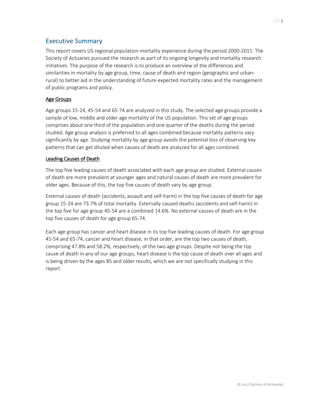### <span id="page-4-0"></span>Executive Summary

This report covers US regional population mortality experience during the period 2000-2015. The Society of Actuaries pursued the research as part of its ongoing longevity and mortality research initiatives. The purpose of the research is to produce an overview of the differences and similarities in mortality by age group, time, cause of death and region (geographic and urbanrural) to better aid in the understanding of future expected mortality rates and the management of public programs and policy.

### Age Groups

Age groups 15-24, 45-54 and 65-74 are analyzed in this study. The selected age groups provide a sample of low, middle and older age mortality of the US population. This set of age groups comprises about one third of the population and one quarter of the deaths during the period studied. Age group analysis is preferred to all ages combined because mortality patterns vary significantly by age. Studying mortality by age group avoids the potential loss of observing key patterns that can get diluted when causes of death are analyzed for all ages combined.

### Leading Causes of Death

The top five leading causes of death associated with each age group are studied. External causes of death are more prevalent at younger ages and natural causes of death are more prevalent for older ages. Because of this, the top five causes of death vary by age group.

External causes of death (accidents, assault and self-harm) in the top five causes of death for age group 15-24 are 73.7% of total mortality. Externally caused deaths (accidents and self-harm) in the top five for age group 45-54 are a combined 14.6%. No external causes of death are in the top five causes of death for age group 65-74.

Each age group has cancer and heart disease in its top five leading causes of death. For age group 45-54 and 65-74, cancer and heart disease, in that order, are the top two causes of death, comprising 47.8% and 58.2%, respectively, of the two age groups. Despite not being the top cause of death in any of our age groups, heart disease is the top cause of death over all ages and is being driven by the ages 85 and older results, which we are not specifically studying in this report.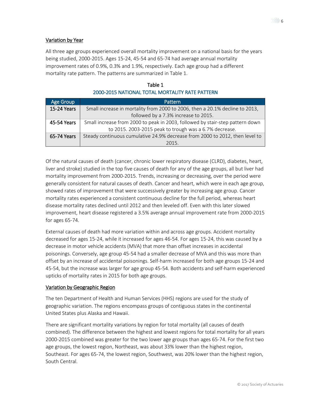### Variation by Year

All three age groups experienced overall mortality improvement on a national basis for the years being studied, 2000-2015. Ages 15-24, 45-54 and 65-74 had average annual mortality improvement rates of 0.9%, 0.3% and 1.9%, respectively. Each age group had a different mortality rate pattern. The patterns are summarized in Table 1.

| Table 1                                         |
|-------------------------------------------------|
| 2000-2015 NATIONAL TOTAL MORTALITY RATE PATTERN |

 $\equiv$  1.1  $\equiv$  1.1

| <b>Age Group</b> | Pattern                                                                       |
|------------------|-------------------------------------------------------------------------------|
| 15-24 Years      | Small increase in mortality from 2000 to 2006, then a 20.1% decline to 2013,  |
|                  | followed by a 7.3% increase to 2015.                                          |
| 45-54 Years      | Small increase from 2000 to peak in 2003, followed by stair-step pattern down |
|                  | to 2015. 2003-2015 peak to trough was a 6.7% decrease.                        |
| 65-74 Years      | Steady continuous cumulative 24.9% decrease from 2000 to 2012, then level to  |
|                  | 2015.                                                                         |

Of the natural causes of death (cancer, chronic lower respiratory disease (CLRD), diabetes, heart, liver and stroke) studied in the top five causes of death for any of the age groups, all but liver had mortality improvement from 2000-2015. Trends, increasing or decreasing, over the period were generally consistent for natural causes of death. Cancer and heart, which were in each age group, showed rates of improvement that were successively greater by increasing age group. Cancer mortality rates experienced a consistent continuous decline for the full period, whereas heart disease mortality rates declined until 2012 and then leveled off. Even with this later slowed improvement, heart disease registered a 3.5% average annual improvement rate from 2000-2015 for ages 65-74.

External causes of death had more variation within and across age groups. Accident mortality decreased for ages 15-24, while it increased for ages 46-54. For ages 15-24, this was caused by a decrease in motor vehicle accidents (MVA) that more than offset increases in accidental poisonings. Conversely, age group 45-54 had a smaller decrease of MVA and this was more than offset by an increase of accidental poisonings. Self-harm increased for both age groups 15-24 and 45-54, but the increase was larger for age group 45-54. Both accidents and self-harm experienced upticks of mortality rates in 2015 for both age groups.

### Variation by Geographic Region

The ten Department of Health and Human Services (HHS) regions are used for the study of geographic variation. The regions encompass groups of contiguous states in the continental United States plus Alaska and Hawaii.

There are significant mortality variations by region for total mortality (all causes of death combined). The difference between the highest and lowest regions for total mortality for all years 2000-2015 combined was greater for the two lower age groups than ages 65-74. For the first two age groups, the lowest region, Northeast, was about 33% lower than the highest region, Southeast. For ages 65-74, the lowest region, Southwest, was 20% lower than the highest region, South Central.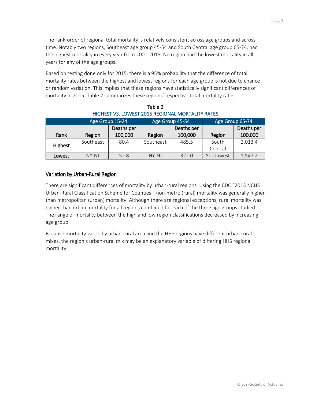The rank-order of regional total mortality is relatively consistent across age groups and across time. Notably two regions, Southeast age group 45-54 and South Central age group 65-74, had the highest mortality in every year from 2000-2015. No region had the lowest mortality in all years for any of the age groups.

Based on testing done only for 2015, there is a 95% probability that the difference of total mortality rates between the highest and lowest regions for each age group is not due to chance or random variation. This implies that these regions have statistically significant differences of mortality in 2015. Table 2 summarizes these regions' respective total mortality rates.

| כבוראו ובארווטווין וואסומיקאי ומשפח בארצוניה של וכבודה ומידו |                 |            |                 |            |                 |            |
|--------------------------------------------------------------|-----------------|------------|-----------------|------------|-----------------|------------|
|                                                              | Age Group 15-24 |            | Age Group 45-54 |            | Age Group 65-74 |            |
|                                                              |                 | Deaths per |                 | Deaths per |                 | Deaths per |
| Rank                                                         | Region          | 100,000    | Region          | 100,000    | Region          | 100,000    |
| Highest                                                      | Southeast       | 80.4       | Southeast       | 485.5      | South           | 2,013.4    |
|                                                              |                 |            |                 |            | Central         |            |
| Lowest                                                       | $NY-NJ$         | 52.8       | NY-NJ           | 322.0      | Southwest       | 1,547.2    |

Table 2 HIGHEST VS. LOWEST 2015 REGIONAL MORTALITY RATES

### Variation by Urban-Rural Region

There are significant differences of mortality by urban-rural regions. Using the CDC "2013 NCHS Urban-Rural Classification Scheme for Counties," non-metro (rural) mortality was generally higher than metropolitan (urban) mortality. Although there are regional exceptions, rural mortality was higher than urban mortality for all regions combined for each of the three age groups studied. The range of mortality between the high and low region classifications decreased by increasing age group.

Because mortality varies by urban-rural area and the HHS regions have different urban-rural mixes, the region's urban-rural mix may be an explanatory variable of differing HHS regional mortality.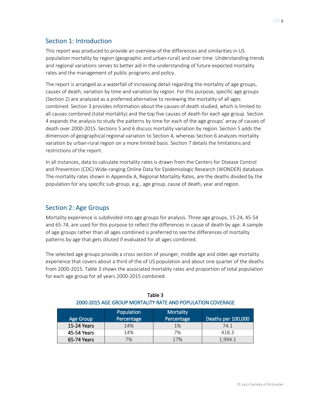## <span id="page-7-0"></span>Section 1: Introduction

This report was produced to provide an overview of the differences and similarities in US population mortality by region (geographic and urban-rural) and over time. Understanding trends and regional variations serves to better aid in the understanding of future expected mortality rates and the management of public programs and policy.

The report is arranged as a waterfall of increasing detail regarding the mortality of age groups, causes of death, variation by time and variation by region. For this purpose, specific age groups (Section 2) are analyzed as a preferred alternative to reviewing the mortality of all ages combined. Section 3 provides information about the causes of death studied, which is limited to all causes combined (total mortality) and the top five causes of death for each age group. Section 4 expands the analysis to study the patterns by time for each of the age groups' array of causes of death over 2000-2015. Sections 5 and 6 discuss mortality variation by region. Section 5 adds the dimension of geographical regional variation to Section 4, whereas Section 6 analyzes mortality variation by urban-rural region on a more limited basis. Section 7 details the limitations and restrictions of the report.

In all instances, data to calculate mortality rates is drawn from the Centers for Disease Control and Prevention (CDC) Wide-ranging Online Data for Epidemiologic Research (WONDER) database. The mortality rates shown in Appendix A, Regional Mortality Rates, are the deaths divided by the population for any specific sub-group, e.g., age group, cause of death, year and region.

### <span id="page-7-1"></span>Section 2: Age Groups

Mortality experience is subdivided into age groups for analysis. Three age groups, 15-24, 45-54 and 65-74, are used for this purpose to reflect the differences in cause of death by age. A sample of age groups rather than all ages combined is preferred to see the differences of mortality patterns by age that gets diluted if evaluated for all ages combined.

The selected age groups provide a cross section of younger, middle age and older age mortality experience that covers about a third of the of US population and about one quarter of the deaths from 2000-2015. Table 3 shows the associated mortality rates and proportion of total population for each age group for all years 2000-2015 combined.

| Age Group   | Population<br>Percentage | <b>Mortality</b><br>Percentage | Deaths per 100,000 |
|-------------|--------------------------|--------------------------------|--------------------|
| 15-24 Years | 14%                      | 1%                             | 74.1               |
| 45-54 Years | 14%                      | 7%                             | 418.3              |
| 65-74 Years | 7%                       | 17%                            | 1.994.1            |

### Table 3 2000-2015 AGE GROUP MORTALITY RATE AND POPULATION COVERAGE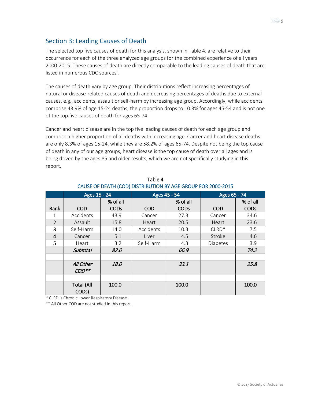### <span id="page-8-0"></span>Section 3: Leading Causes of Death

The selected top five causes of death for this analysis, shown in Table 4, are relative to their occurrence for each of the three analyzed age groups for the combined experience of all years 2000-2015. These causes of death are directly comparable to the leading causes of death that are l[i](#page-41-1)sted in numerous CDC sources<sup>i</sup>.

The causes of death vary by age group. Their distributions reflect increasing percentages of natural or disease-related causes of death and decreasing percentages of deaths due to external causes, e.g., accidents, assault or self-harm by increasing age group. Accordingly, while accidents comprise 43.9% of age 15-24 deaths, the proportion drops to 10.3% for ages 45-54 and is not one of the top five causes of death for ages 65-74.

Cancer and heart disease are in the top five leading causes of death for each age group and comprise a higher proportion of all deaths with increasing age. Cancer and heart disease deaths are only 8.3% of ages 15-24, while they are 58.2% of ages 65-74. Despite not being the top cause of death in any of our age groups, heart disease is the top cause of death over all ages and is being driven by the ages 85 and older results, which we are not specifically studying in this report.

|                | Ages 15 - 24                            |             | Ages 45 - 54 |             | Ages 65 - 74    |             |
|----------------|-----------------------------------------|-------------|--------------|-------------|-----------------|-------------|
|                |                                         | % of all    |              | % of all    |                 | % of all    |
| Rank           | <b>COD</b>                              | <b>CODs</b> | <b>COD</b>   | <b>CODs</b> | <b>COD</b>      | <b>CODs</b> |
| 1              | Accidents                               | 43.9        | Cancer       | 27.3        | Cancer          | 34.6        |
| $\overline{2}$ | Assault                                 | 15.8        | Heart        | 20.5        | Heart           | 23.6        |
| 3              | Self-Harm                               | 14.0        | Accidents    | 10.3        | $CLRD*$         | 7.5         |
| 4              | Cancer                                  | 5.1         | Liver        | 4.5         | Stroke          | 4.6         |
| 5              | Heart                                   | 3.2         | Self-Harm    | 4.3         | <b>Diabetes</b> | 3.9         |
|                | <b>Subtotal</b>                         | 82.0        |              | 66.9        |                 | 74.2        |
|                |                                         |             |              |             |                 |             |
|                | All Other                               | 18.0        |              | 33.1        |                 | 25.8        |
|                | $COD**$                                 |             |              |             |                 |             |
|                |                                         |             |              |             |                 |             |
|                | <b>Total (All</b><br>COD <sub>s</sub> ) | 100.0       |              | 100.0       |                 | 100.0       |

Table 4 CAUSE OF DEATH (COD) DISTRIBUTION BY AGE GROUP FOR 2000-2015

\* CLRD is Chronic Lower Respiratory Disease.

\*\* All Other COD are not studied in this report.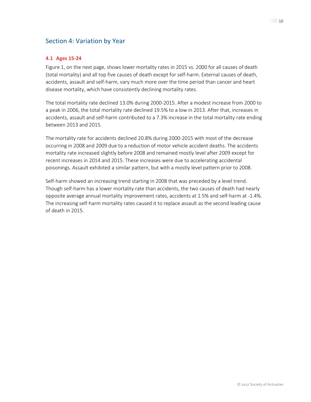### <span id="page-9-0"></span>Section 4: Variation by Year

### <span id="page-9-1"></span>**4.1 Ages 15-24**

Figure 1, on the next page, shows lower mortality rates in 2015 vs. 2000 for all causes of death (total mortality) and all top five causes of death except for self-harm. External causes of death, accidents, assault and self-harm, vary much more over the time period than cancer and heart disease mortality, which have consistently declining mortality rates.

The total mortality rate declined 13.0% during 2000-2015. After a modest increase from 2000 to a peak in 2006, the total mortality rate declined 19.5% to a low in 2013. After that, increases in accidents, assault and self-harm contributed to a 7.3% increase in the total mortality rate ending between 2013 and 2015.

The mortality rate for accidents declined 20.8% during 2000-2015 with most of the decrease occurring in 2008 and 2009 due to a reduction of motor vehicle accident deaths. The accidents mortality rate increased slightly before 2008 and remained mostly level after 2009 except for recent increases in 2014 and 2015. These increases were due to accelerating accidental poisonings. Assault exhibited a similar pattern, but with a mostly level pattern prior to 2008.

Self-harm showed an increasing trend starting in 2008 that was preceded by a level trend. Though self-harm has a lower mortality rate than accidents, the two causes of death had nearly opposite average annual mortality improvement rates, accidents at 1.5% and self-harm at -1.4%. The increasing self-harm mortality rates caused it to replace assault as the second leading cause of death in 2015.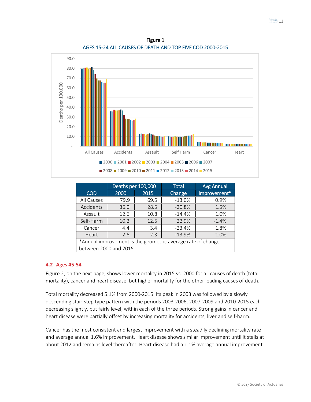90.0 80.0 70.0 Deaths per 100,000 Deaths per 100,000 60.0 50.0 40.0 30.0 20.0 10.0 **Barbara** in - All Causes Accidents Assault Self Harm Cancer Heart ■ 2000 ■ 2001 ■ 2002 ■ 2003 ■ 2004 ■ 2005 ■ 2006 ■ 2007 2008 2009 2010 2011 2012 2013 2014 2015

| Figure 1                                                  |  |
|-----------------------------------------------------------|--|
| AGES 15-24 ALL CAUSES OF DEATH AND TOP FIVE COD 2000-2015 |  |

|                                                             | Deaths per 100,000 |      | <b>Total</b> | <b>Avg Annual</b> |
|-------------------------------------------------------------|--------------------|------|--------------|-------------------|
| <b>COD</b>                                                  | 2000               | 2015 | Change       | Improvement*      |
| All Causes                                                  | 79.9               | 69.5 | $-13.0%$     | 0.9%              |
| Accidents                                                   | 36.0               | 28.5 | $-20.8%$     | 1.5%              |
| Assault                                                     | 12.6               | 10.8 | $-14.4%$     | 1.0%              |
| Self-Harm                                                   | 10.2               | 12.5 | 22.9%        | $-1.4%$           |
| Cancer                                                      | 4.4                | 3.4  | $-23.4%$     | 1.8%              |
| Heart                                                       | 2.6                | 2.3  | $-13.9%$     | 1.0%              |
| *Annual improvement is the geometric average rate of change |                    |      |              |                   |
| between 2000 and 2015.                                      |                    |      |              |                   |

### <span id="page-10-0"></span>**4.2 Ages 45-54**

Figure 2, on the next page, shows lower mortality in 2015 vs. 2000 for all causes of death (total mortality), cancer and heart disease, but higher mortality for the other leading causes of death.

Total mortality decreased 5.1% from 2000-2015. Its peak in 2003 was followed by a slowly descending stair-step type pattern with the periods 2003-2006, 2007-2009 and 2010-2015 each decreasing slightly, but fairly level, within each of the three periods. Strong gains in cancer and heart disease were partially offset by increasing mortality for accidents, liver and self-harm.

Cancer has the most consistent and largest improvement with a steadily declining mortality rate and average annual 1.6% improvement. Heart disease shows similar improvement until it stalls at about 2012 and remains level thereafter. Heart disease had a 1.1% average annual improvement.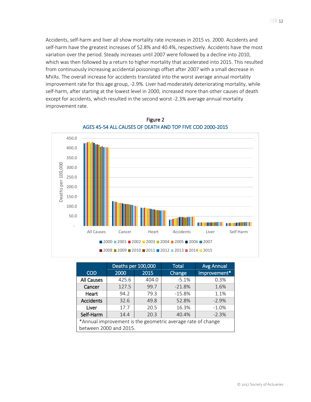Accidents, self-harm and liver all show mortality rate increases in 2015 vs. 2000. Accidents and self-harm have the greatest increases of 52.8% and 40.4%, respectively. Accidents have the most variation over the period. Steady increases until 2007 were followed by a decline into 2010, which was then followed by a return to higher mortality that accelerated into 2015. This resulted from continuously increasing accidental poisonings offset after 2007 with a small decrease in MVAs. The overall increase for accidents translated into the worst average annual mortality improvement rate for this age group, -2.9%. Liver had moderately deteriorating mortality, while self-harm, after starting at the lowest level in 2000, increased more than other causes of death except for accidents, which resulted in the second worst -2.3% average annual mortality improvement rate.





|                                                             | Deaths per 100,000 |       | <b>Total</b> | <b>Avg Annual</b> |
|-------------------------------------------------------------|--------------------|-------|--------------|-------------------|
| <b>COD</b>                                                  | 2000               | 2015  | Change       | Improvement*      |
| All Causes                                                  | 425.6              | 404.0 | $-5.1%$      | 0.3%              |
| Cancer                                                      | 127.5              | 99.7  | $-21.8%$     | 1.6%              |
| Heart                                                       | 94.2               | 79.3  | $-15.8%$     | 1.1%              |
| <b>Accidents</b>                                            | 32.6               | 49.8  | 52.8%        | $-2.9%$           |
| Liver                                                       | 17.7               | 20.5  | 16.3%        | $-1.0%$           |
| Self-Harm                                                   | 14.4               | 20.3  | 40.4%        | $-2.3%$           |
| *Annual improvement is the geometric average rate of change |                    |       |              |                   |
| between 2000 and 2015.                                      |                    |       |              |                   |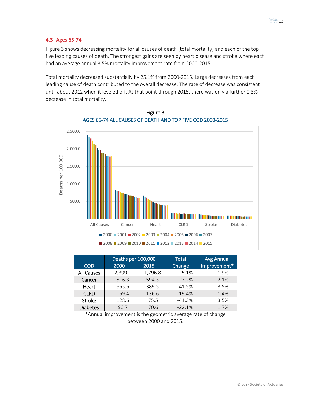#### <span id="page-12-0"></span>**4.3 Ages 65-74**

Figure 3 shows decreasing mortality for all causes of death (total mortality) and each of the top five leading causes of death. The strongest gains are seen by heart disease and stroke where each had an average annual 3.5% mortality improvement rate from 2000-2015.

Total mortality decreased substantially by 25.1% from 2000-2015. Large decreases from each leading cause of death contributed to the overall decrease. The rate of decrease was consistent until about 2012 when it leveled off. At that point through 2015, there was only a further 0.3% decrease in total mortality.



Figure 3 AGES 65-74 ALL CAUSES OF DEATH AND TOP FIVE COD 2000-2015

|                                                             | Deaths per 100,000 |         | <b>Total</b> | <b>Avg Annual</b> |
|-------------------------------------------------------------|--------------------|---------|--------------|-------------------|
| <b>COD</b>                                                  | 2000               | 2015    | Change       | Improvement*      |
| <b>All Causes</b>                                           | 2,399.1            | 1,796.8 | $-25.1%$     | 1.9%              |
| Cancer                                                      | 816.3              | 594.3   | $-27.2%$     | 2.1%              |
| Heart                                                       | 665.6              | 389.5   | $-41.5%$     | 3.5%              |
| <b>CLRD</b>                                                 | 169.4              | 136.6   | $-19.4%$     | 1.4%              |
| Stroke                                                      | 128.6              | 75.5    | $-41.3%$     | 3.5%              |
| <b>Diabetes</b>                                             | 90.7               | 70.6    | $-22.1%$     | 1.7%              |
| *Annual improvement is the geometric average rate of change |                    |         |              |                   |
| between 2000 and 2015.                                      |                    |         |              |                   |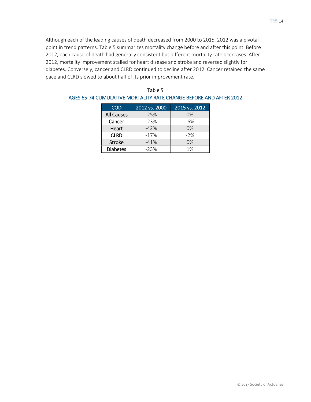Although each of the leading causes of death decreased from 2000 to 2015, 2012 was a pivotal point in trend patterns. Table 5 summarizes mortality change before and after this point. Before 2012, each cause of death had generally consistent but different mortality rate decreases. After 2012, mortality improvement stalled for heart disease and stroke and reversed slightly for diabetes. Conversely, cancer and CLRD continued to decline after 2012. Cancer retained the same pace and CLRD slowed to about half of its prior improvement rate.

| <b>COD</b>        | 2012 vs. 2000 | 2015 vs. 2012 |
|-------------------|---------------|---------------|
| <b>All Causes</b> | $-25%$        | 0%            |
| Cancer            | $-23%$        | $-6%$         |
| Heart             | $-42%$        | 0%            |
| <b>CLRD</b>       | $-17%$        | $-2%$         |
| <b>Stroke</b>     | $-41%$        | 0%            |
| <b>Diabetes</b>   | $-23%$        | 1%            |

| Table 5                                                           |
|-------------------------------------------------------------------|
| AGES 65-74 CUMULATIVE MORTALITY RATE CHANGE BEFORE AND AFTER 2012 |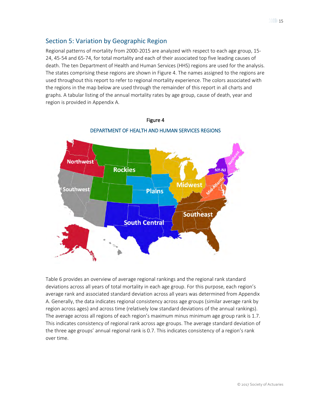### <span id="page-14-0"></span>Section 5: Variation by Geographic Region

Regional patterns of mortality from 2000-2015 are analyzed with respect to each age group, 15- 24, 45-54 and 65-74, for total mortality and each of their associated top five leading causes of death. The ten Department of Health and Human Services (HHS) regions are used for the analysis. The states comprising these regions are shown in Figure 4. The names assigned to the regions are used throughout this report to refer to regional mortality experience. The colors associated with the regions in the map below are used through the remainder of this report in all charts and graphs. A tabular listing of the annual mortality rates by age group, cause of death, year and region is provided in Appendix A.



### Figure 4 DEPARTMENT OF HEALTH AND HUMAN SERVICES REGIONS

Table 6 provides an overview of average regional rankings and the regional rank standard deviations across all years of total mortality in each age group. For this purpose, each region's average rank and associated standard deviation across all years was determined from Appendix A. Generally, the data indicates regional consistency across age groups (similar average rank by region across ages) and across time (relatively low standard deviations of the annual rankings). The average across all regions of each region's maximum minus minimum age group rank is 1.7. This indicates consistency of regional rank across age groups. The average standard deviation of the three age groups' annual regional rank is 0.7. This indicates consistency of a region's rank over time.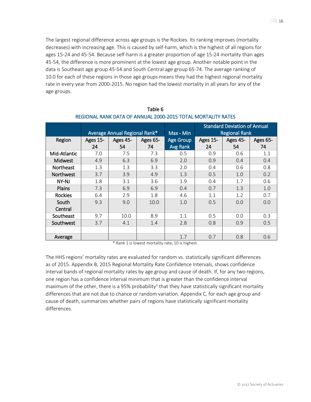∭∕≫ 16

The largest regional difference across age groups is the Rockies. Its ranking improves (mortality decreases) with increasing age. This is caused by self-harm, which is the highest of all regions for ages 15-24 and 45-54. Because self-harm is a greater proportion of age 15-24 mortality than ages 45-54, the difference is more prominent at the lowest age group. Another notable point in the data is Southeast age group 45-54 and South Central age group 65-74. The average ranking of 10.0 for each of these regions in those age groups means they had the highest regional mortality rate in every year from 2000-2015. No region had the lowest mortality in all years for any of the age groups.

|                  |          |                               |          |                  |          | <b>Standard Deviation of Annual</b> |          |
|------------------|----------|-------------------------------|----------|------------------|----------|-------------------------------------|----------|
|                  |          | Average Annual Regional Rank* |          | Max - Min        |          | <b>Regional Rank</b>                |          |
| Region           | Ages 15- | Ages 45-                      | Ages 65- | <b>Age Group</b> | Ages 15- | Ages 45-                            | Ages 65- |
|                  | 24       | 54                            | 74       | Avg Rank         | 24       | 54                                  | 74       |
| Mid-Atlantic     | 7.0      | 7.5                           | 7.3      | 0.5              | 0.9      | 0.6                                 | 1.1      |
| <b>Midwest</b>   | 4.9      | 6.3                           | 6.9      | 2.0              | 0.9      | 0.4                                 | 0.4      |
| Northeast        | 1.3      | 1.3                           | 3.3      | 2.0              | 0.4      | 0.6                                 | 0.8      |
| <b>Northwest</b> | 3.7      | 3.9                           | 4.9      | 1.3              | 0.5      | 1.0                                 | 0.2      |
| NY-NJ            | 1.8      | 3.1                           | 3.6      | 1.9              | 0.4      | 1.7                                 | 0.6      |
| Plains           | 7.3      | 6.9                           | 6.9      | 0.4              | 0.7      | 1.3                                 | 1.0      |
| Rockies          | 6.4      | 2.9                           | 1.8      | 4.6              | 1.1      | 1.2                                 | 0.7      |
| South            | 9.3      | 9.0                           | 10.0     | 1.0              | 0.5      | 0.0                                 | 0.0      |
| Central          |          |                               |          |                  |          |                                     |          |
| Southeast        | 9.7      | 10.0                          | 8.9      | 1.1              | 0.5      | 0.0                                 | 0.3      |
| Southwest        | 3.7      | 4.1                           | 1.4      | 2.8              | 0.8      | 0.9                                 | 0.5      |
|                  |          |                               |          |                  |          |                                     |          |
| Average          |          |                               |          | 1.7              | 0.7      | 0.8                                 | 0.6      |

Table 6 REGIONAL RANK DATA OF ANNUAL 2000-2015 TOTAL MORTALITY RATES

\* Rank 1 is lowest mortality rate; 10 is highest.

The HHS regions' mortality rates are evaluated for random vs. statistically significant differences as of 2015. Appendix B, 2015 Regional Mortality Rate Confidence Intervals, shows confidence interval bands of regional mortality rates by age group and cause of death. If, for any two regions, one region has a confidence interval minimum that is greater than the confidence interval maximum of the other, there is a 95% probability<sup>[ii](#page-41-2)</sup> that they have statistically significant mortality differences that are not due to chance or random variation. Appendix C, for each age group and cause of death, summarizes whether pairs of regions have statistically significant mortality differences.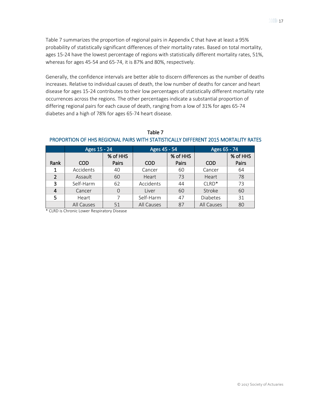Table 7 summarizes the proportion of regional pairs in Appendix C that have at least a 95% probability of statistically significant differences of their mortality rates. Based on total mortality, ages 15-24 have the lowest percentage of regions with statistically different mortality rates, 51%, whereas for ages 45-54 and 65-74, it is 87% and 80%, respectively.

Generally, the confidence intervals are better able to discern differences as the number of deaths increases. Relative to individual causes of death, the low number of deaths for cancer and heart disease for ages 15-24 contributes to their low percentages of statistically different mortality rate occurrences across the regions. The other percentages indicate a substantial proportion of differing regional pairs for each cause of death, ranging from a low of 31% for ages 65-74 diabetes and a high of 78% for ages 65-74 heart disease.

|                | Ages 15 - 24 |                | Ages 45 - 54 |          | Ages 65 - 74 |          |
|----------------|--------------|----------------|--------------|----------|--------------|----------|
|                |              | % of HHS       |              | % of HHS |              | % of HHS |
| Rank           | <b>COD</b>   | Pairs          | <b>COD</b>   | Pairs    | <b>COD</b>   | Pairs    |
| 1              | Accidents    | 40             | Cancer       | 60       | Cancer       | 64       |
| $\overline{2}$ | Assault      | 60             | Heart        | 73       | Heart        | 78       |
| 3              | Self-Harm    | 62             | Accidents    | 44       | $CLRD*$      | 73       |
| 4              | Cancer       | $\Omega$       | Liver        | 60       | Stroke       | 60       |
| 5              | Heart        | $\overline{7}$ | Self-Harm    | 47       | Diabetes     | 31       |
|                | All Causes   | 51             | All Causes   | 87       | All Causes   | 80       |

#### Table 7 PROPORTION OF HHS REGIONAL PAIRS WITH STATISTICALLY DIFFERENT 2015 MORTALITY RATES

\* CLRD is Chronic Lower Respiratory Disease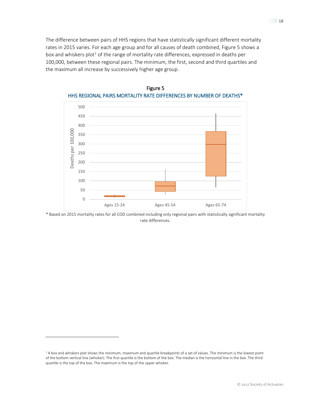The difference between pairs of HHS regions that have statistically significant different mortality rates in 2015 varies. For each age group and for all causes of death combined, Figure 5 shows a box and whiskers plot<sup>[1](#page-17-0)</sup> of the range of mortality rate differences, expressed in deaths per 100,000, between these regional pairs. The minimum, the first, second and third quartiles and the maximum all increase by successively higher age group.





\* Based on 2015 mortality rates for all COD combined including only regional pairs with statistically significant mortality rate differences.

 $\overline{a}$ 

<span id="page-17-0"></span><sup>&</sup>lt;sup>1</sup> A box and whiskers plot shows the minimum, maximum and quartile breakpoints of a set of values. The minimum is the lowest point of the bottom vertical line (whisker). The first quartile is the bottom of the box. The median is the horizontal line in the box. The third quartile is the top of the box. The maximum is the top of the upper whisker.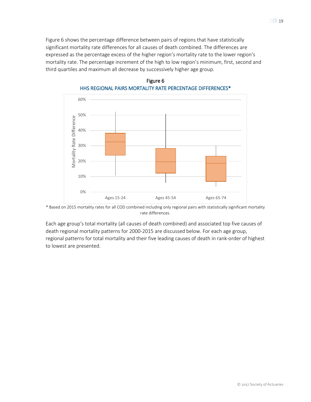Figure 6 shows the percentage difference between pairs of regions that have statistically significant mortality rate differences for all causes of death combined. The differences are expressed as the percentage excess of the higher region's mortality rate to the lower region's mortality rate. The percentage increment of the high to low region's minimum, first, second and third quartiles and maximum all decrease by successively higher age group.



### Figure 6 HHS REGIONAL PAIRS MORTALITY RATE PERCENTAGE DIFFERENCES\*

\* Based on 2015 mortality rates for all COD combined including only regional pairs with statistically significant mortality rate differences.

Each age group's total mortality (all causes of death combined) and associated top five causes of death regional mortality patterns for 2000-2015 are discussed below. For each age group, regional patterns for total mortality and their five leading causes of death in rank-order of highest to lowest are presented.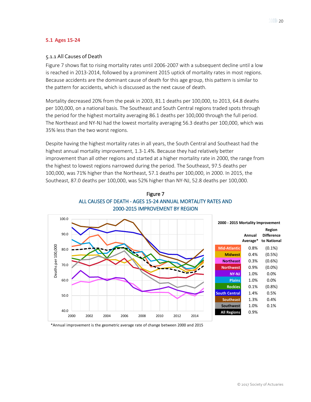#### <span id="page-19-1"></span><span id="page-19-0"></span>**5.1 Ages 15-24**

### 5.1.1 All Causes of Death

Figure 7 shows flat to rising mortality rates until 2006-2007 with a subsequent decline until a low is reached in 2013-2014, followed by a prominent 2015 uptick of mortality rates in most regions. Because accidents are the dominant cause of death for this age group, this pattern is similar to the pattern for accidents, which is discussed as the next cause of death.

Mortality decreased 20% from the peak in 2003, 81.1 deaths per 100,000, to 2013, 64.8 deaths per 100,000, on a national basis. The Southeast and South Central regions traded spots through the period for the highest mortality averaging 86.1 deaths per 100,000 through the full period. The Northeast and NY-NJ had the lowest mortality averaging 56.3 deaths per 100,000, which was 35% less than the two worst regions.

Despite having the highest mortality rates in all years, the South Central and Southeast had the highest annual mortality improvement, 1.3-1.4%. Because they had relatively better improvement than all other regions and started at a higher mortality rate in 2000, the range from the highest to lowest regions narrowed during the period. The Southeast, 97.5 deaths per 100,000, was 71% higher than the Northeast, 57.1 deaths per 100,000, in 2000. In 2015, the Southeast, 87.0 deaths per 100,000, was 52% higher than NY-NJ, 52.8 deaths per 100,000.



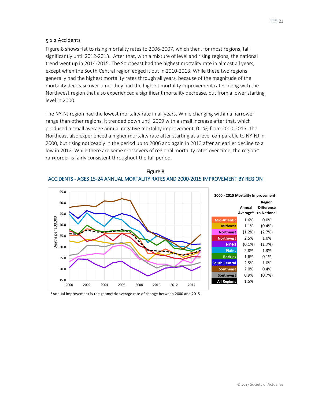#### <span id="page-20-0"></span>5.1.2 Accidents

Figure 8 shows flat to rising mortality rates to 2006-2007, which then, for most regions, fall significantly until 2012-2013. After that, with a mixture of level and rising regions, the national trend went up in 2014-2015. The Southeast had the highest mortality rate in almost all years, except when the South Central region edged it out in 2010-2013. While these two regions generally had the highest mortality rates through all years, because of the magnitude of the mortality decrease over time, they had the highest mortality improvement rates along with the Northwest region that also experienced a significant mortality decrease, but from a lower starting level in 2000.

The NY-NJ region had the lowest mortality rate in all years. While changing within a narrower range than other regions, it trended down until 2009 with a small increase after that, which produced a small average annual negative mortality improvement, 0.1%, from 2000-2015. The Northeast also experienced a higher mortality rate after starting at a level comparable to NY-NJ in 2000, but rising noticeably in the period up to 2006 and again in 2013 after an earlier decline to a low in 2012. While there are some crossovers of regional mortality rates over time, the regions' rank order is fairly consistent throughout the full period.



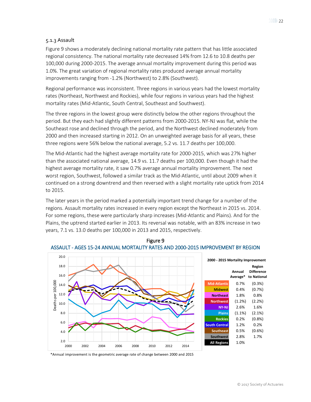### <span id="page-21-0"></span>5.1.3 Assault

Figure 9 shows a moderately declining national mortality rate pattern that has little associated regional consistency. The national mortality rate decreased 14% from 12.6 to 10.8 deaths per 100,000 during 2000-2015. The average annual mortality improvement during this period was 1.0%. The great variation of regional mortality rates produced average annual mortality improvements ranging from -1.2% (Northwest) to 2.8% (Southwest).

Regional performance was inconsistent. Three regions in various years had the lowest mortality rates (Northeast, Northwest and Rockies), while four regions in various years had the highest mortality rates (Mid-Atlantic, South Central, Southeast and Southwest).

The three regions in the lowest group were distinctly below the other regions throughout the period. But they each had slightly different patterns from 2000-2015. NY-NJ was flat, while the Southeast rose and declined through the period, and the Northwest declined moderately from 2000 and then increased starting in 2012. On an unweighted average basis for all years, these three regions were 56% below the national average, 5.2 vs. 11.7 deaths per 100,000.

The Mid-Atlantic had the highest average mortality rate for 2000-2015, which was 27% higher than the associated national average, 14.9 vs. 11.7 deaths per 100,000. Even though it had the highest average mortality rate, it saw 0.7% average annual mortality improvement. The next worst region, Southwest, followed a similar track as the Mid-Atlantic, until about 2009 when it continued on a strong downtrend and then reversed with a slight mortality rate uptick from 2014 to 2015.

The later years in the period marked a potentially important trend change for a number of the regions. Assault mortality rates increased in every region except the Northeast in 2015 vs. 2014. For some regions, these were particularly sharp increases (Mid-Atlantic and Plains). And for the Plains, the uptrend started earlier in 2013. Its reversal was notable, with an 83% increase in two years, 7.1 vs. 13.0 deaths per 100,000 in 2013 and 2015, respectively.



Figure 9 ASSAULT - AGES 15-24 ANNUAL MORTALITY RATES AND 2000-2015 IMPROVEMENT BY REGION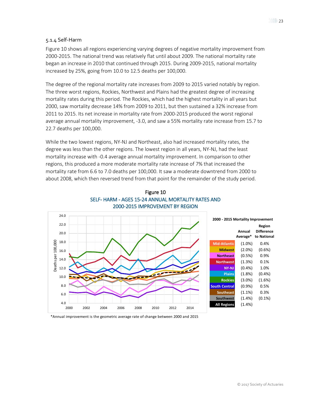### <span id="page-22-0"></span>5.1.4 Self-Harm

Figure 10 shows all regions experiencing varying degrees of negative mortality improvement from 2000-2015. The national trend was relatively flat until about 2009. The national mortality rate began an increase in 2010 that continued through 2015. During 2009-2015, national mortality increased by 25%, going from 10.0 to 12.5 deaths per 100,000.

The degree of the regional mortality rate increases from 2009 to 2015 varied notably by region. The three worst regions, Rockies, Northwest and Plains had the greatest degree of increasing mortality rates during this period. The Rockies, which had the highest mortality in all years but 2000, saw mortality decrease 14% from 2009 to 2011, but then sustained a 32% increase from 2011 to 2015. Its net increase in mortality rate from 2000-2015 produced the worst regional average annual mortality improvement, -3.0, and saw a 55% mortality rate increase from 15.7 to 22.7 deaths per 100,000.

While the two lowest regions, NY-NJ and Northeast, also had increased mortality rates, the degree was less than the other regions. The lowest region in all years, NY-NJ, had the least mortality increase with -0.4 average annual mortality improvement. In comparison to other regions, this produced a more moderate mortality rate increase of 7% that increased the mortality rate from 6.6 to 7.0 deaths per 100,000. It saw a moderate downtrend from 2000 to about 2008, which then reversed trend from that point for the remainder of the study period.



#### Figure 10 SELF- HARM - AGES 15-24 ANNUAL MORTALITY RATES AND 2000-2015 IMPROVEMENT BY REGION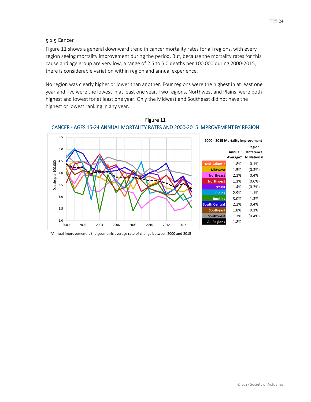### <span id="page-23-0"></span>5.1.5 Cancer

Figure 11 shows a general downward trend in cancer mortality rates for all regions, with every region seeing mortality improvement during the period. But, because the mortality rates for this cause and age group are very low, a range of 2.5 to 5.0 deaths per 100,000 during 2000-2015, there is considerable variation within region and annual experience.

No region was clearly higher or lower than another. Four regions were the highest in at least one year and five were the lowest in at least one year. Two regions, Northwest and Plains, were both highest and lowest for at least one year. Only the Midwest and Southeast did not have the highest or lowest ranking in any year.



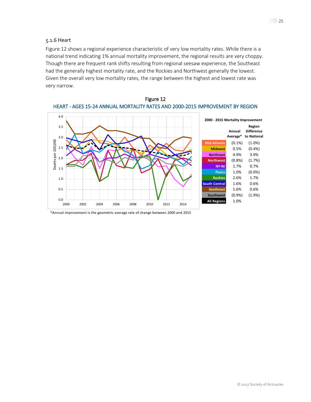#### <span id="page-24-0"></span>5.1.6 Heart

Figure 12 shows a regional experience characteristic of very low mortality rates. While there is a national trend indicating 1% annual mortality improvement, the regional results are very choppy. Though there are frequent rank shifts resulting from regional seesaw experience, the Southeast had the generally highest mortality rate, and the Rockies and Northwest generally the lowest. Given the overall very low mortality rates, the range between the highest and lowest rate was very narrow.



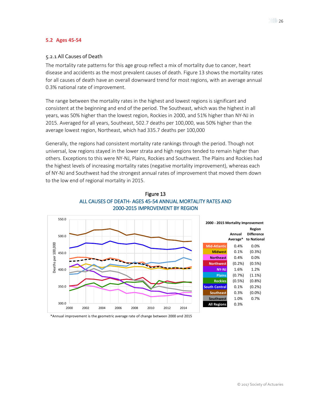#### <span id="page-25-1"></span><span id="page-25-0"></span>**5.2 Ages 45-54**

### 5.2.1 All Causes of Death

The mortality rate patterns for this age group reflect a mix of mortality due to cancer, heart disease and accidents as the most prevalent causes of death. Figure 13 shows the mortality rates for all causes of death have an overall downward trend for most regions, with an average annual 0.3% national rate of improvement.

The range between the mortality rates in the highest and lowest regions is significant and consistent at the beginning and end of the period. The Southeast, which was the highest in all years, was 50% higher than the lowest region, Rockies in 2000, and 51% higher than NY-NJ in 2015. Averaged for all years, Southeast, 502.7 deaths per 100,000, was 50% higher than the average lowest region, Northeast, which had 335.7 deaths per 100,000

Generally, the regions had consistent mortality rate rankings through the period. Though not universal, low regions stayed in the lower strata and high regions tended to remain higher than others. Exceptions to this were NY-NJ, Plains, Rockies and Southwest. The Plains and Rockies had the highest levels of increasing mortality rates (negative mortality improvement), whereas each of NY-NJ and Southwest had the strongest annual rates of improvement that moved them down to the low end of regional mortality in 2015.



### Figure 13 ALL CAUSES OF DEATH- AGES 45-54 ANNUAL MORTALITY RATES AND 2000-2015 IMPROVEMENT BY REGION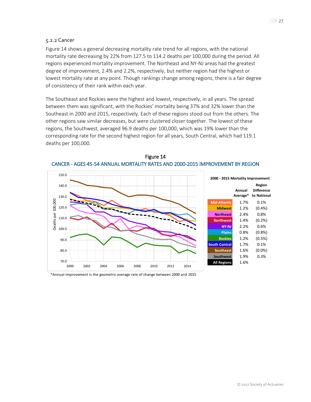#### <span id="page-26-0"></span>5.2.2 Cancer

Figure 14 shows a general decreasing mortality rate trend for all regions, with the national mortality rate decreasing by 22% from 127.5 to 114.2 deaths per 100,000 during the period. All regions experienced mortality improvement. The Northeast and NY-NJ areas had the greatest degree of improvement, 2.4% and 2.2%, respectively, but neither region had the highest or lowest mortality rate at any point. Though rankings change among regions, there is a fair degree of consistency of their rank within each year.

The Southeast and Rockies were the highest and lowest, respectively, in all years. The spread between them was significant, with the Rockies' mortality being 37% and 32% lower than the Southeast in 2000 and 2015, respectively. Each of these regions stood out from the others. The other regions saw similar decreases, but were clustered closer together. The lowest of these regions, the Southwest, averaged 96.9 deaths per 100,000, which was 19% lower than the corresponding rate for the second highest region for all years, South Central, which had 119.1 deaths per 100,000.



Figure 14 CANCER - AGES 45-54 ANNUAL MORTALITY RATES AND 2000-2015 IMPROVEMENT BY REGION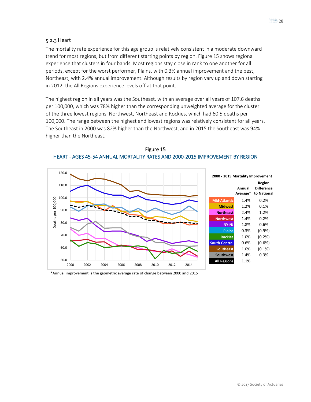#### <span id="page-27-0"></span>5.2.3 Heart

The mortality rate experience for this age group is relatively consistent in a moderate downward trend for most regions, but from different starting points by region. Figure 15 shows regional experience that clusters in four bands. Most regions stay close in rank to one another for all periods, except for the worst performer, Plains, with 0.3% annual improvement and the best, Northeast, with 2.4% annual improvement. Although results by region vary up and down starting in 2012, the All Regions experience levels off at that point.

The highest region in all years was the Southeast, with an average over all years of 107.6 deaths per 100,000, which was 78% higher than the corresponding unweighted average for the cluster of the three lowest regions, Northwest, Northeast and Rockies, which had 60.5 deaths per 100,000. The range between the highest and lowest regions was relatively consistent for all years. The Southeast in 2000 was 82% higher than the Northwest, and in 2015 the Southeast was 94% higher than the Northeast.



Figure 15 HEART - AGES 45-54 ANNUAL MORTALITY RATES AND 2000-2015 IMPROVEMENT BY REGION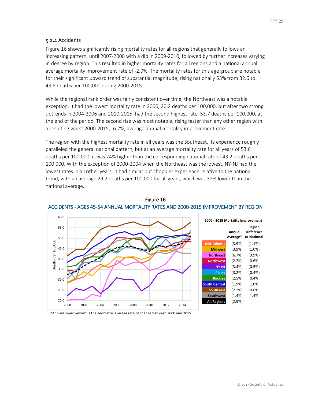### <span id="page-28-0"></span>5.2.4 Accidents

Figure 16 shows significantly rising mortality rates for all regions that generally follows an increasing pattern, until 2007-2008 with a dip in 2009-2010, followed by further increases varying in degree by region. This resulted in higher mortality rates for all regions and a national annual average mortality improvement rate of -2.9%. The mortality rates for this age group are notable for their significant upward trend of substantial magnitude, rising nationally 53% from 32.6 to 49.8 deaths per 100,000 during 2000-2015.

While the regional rank order was fairly consistent over time, the Northeast was a notable exception. It had the lowest mortality rate in 2000, 20.2 deaths per 100,000, but after two strong uptrends in 2004-2006 and 2010-2015, had the second highest rate, 53.7 deaths per 100,000, at the end of the period. The second rise was most notable, rising faster than any other region with a resulting worst 2000-2015, -6.7%, average annual mortality improvement rate.

The region with the highest mortality rate in all years was the Southeast. Its experience roughly paralleled the general national pattern, but at an average mortality rate for all years of 53.6 deaths per 100,000, it was 24% higher than the corresponding national rate of 43.2 deaths per 100,000. With the exception of 2000-2004 when the Northeast was the lowest, NY-NJ had the lowest rates in all other years. It had similar but choppier experience relative to the national trend, with an average 29.2 deaths per 100,000 for all years, which was 32% lower than the national average.



### Figure 16 ACCIDENTS - AGES 45-54 ANNUAL MORTALITY RATES AND 2000-2015 IMPROVEMENT BY REGION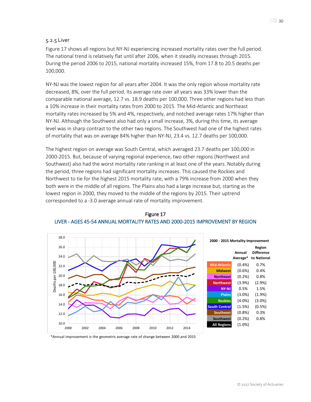#### <span id="page-29-0"></span>5.2.5 Liver

Figure 17 shows all regions but NY-NJ experiencing increased mortality rates over the full period. The national trend is relatively flat until after 2006, when it steadily increases through 2015. During the period 2006 to 2015, national mortality increased 15%, from 17.8 to 20.5 deaths per 100,000.

NY-NJ was the lowest region for all years after 2004. It was the only region whose mortality rate decreased, 8%, over the full period. Its average rate over all years was 33% lower than the comparable national average, 12.7 vs. 18.9 deaths per 100,000. Three other regions had less than a 10% increase in their mortality rates from 2000 to 2015. The Mid-Atlantic and Northeast mortality rates increased by 5% and 4%, respectively, and notched average rates 17% higher than NY-NJ. Although the Southwest also had only a small increase, 3%, during this time, its average level was in sharp contrast to the other two regions. The Southwest had one of the highest rates of mortality that was on average 84% higher than NY-NJ, 23.4 vs. 12.7 deaths per 100,000.

The highest region on average was South Central, which averaged 23.7 deaths per 100,000 in 2000-2015. But, because of varying regional experience, two other regions (Northwest and Southwest) also had the worst mortality rate ranking in at least one of the years. Notably during the period, three regions had significant mortality increases. This caused the Rockies and Northwest to tie for the highest 2015 mortality rate, with a 79% increase from 2000 when they both were in the middle of all regions. The Plains also had a large increase but, starting as the lowest region in 2000, they moved to the middle of the regions by 2015. Their uptrend corresponded to a -3.0 average annual rate of mortality improvement.



Figure 17 LIVER - AGES 45-54 ANNUAL MORTALITY RATES AND 2000-2015 IMPROVEMENT BY REGION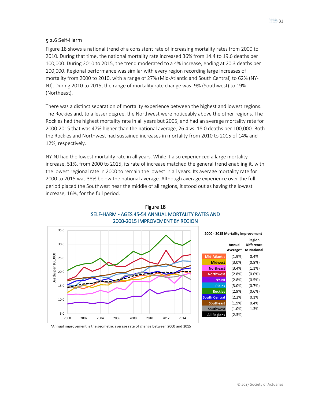### <span id="page-30-0"></span>5.2.6 Self-Harm

Figure 18 shows a national trend of a consistent rate of increasing mortality rates from 2000 to 2010. During that time, the national mortality rate increased 36% from 14.4 to 19.6 deaths per 100,000. During 2010 to 2015, the trend moderated to a 4% increase, ending at 20.3 deaths per 100,000. Regional performance was similar with every region recording large increases of mortality from 2000 to 2010, with a range of 27% (Mid-Atlantic and South Central) to 62% (NY-NJ). During 2010 to 2015, the range of mortality rate change was -9% (Southwest) to 19% (Northeast).

There was a distinct separation of mortality experience between the highest and lowest regions. The Rockies and, to a lesser degree, the Northwest were noticeably above the other regions. The Rockies had the highest mortality rate in all years but 2005, and had an average mortality rate for 2000-2015 that was 47% higher than the national average, 26.4 vs. 18.0 deaths per 100,000. Both the Rockies and Northwest had sustained increases in mortality from 2010 to 2015 of 14% and 12%, respectively.

NY-NJ had the lowest mortality rate in all years. While it also experienced a large mortality increase, 51%, from 2000 to 2015, its rate of increase matched the general trend enabling it, with the lowest regional rate in 2000 to remain the lowest in all years. Its average mortality rate for 2000 to 2015 was 38% below the national average. Although average experience over the full period placed the Southwest near the middle of all regions, it stood out as having the lowest increase, 16%, for the full period.



### Figure 18 SELF-HARM - AGES 45-54 ANNUAL MORTALITY RATES AND 2000-2015 IMPROVEMENT BY REGION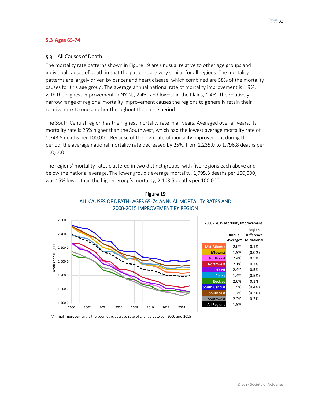#### <span id="page-31-1"></span><span id="page-31-0"></span>**5.3 Ages 65-74**

### 5.3.1 All Causes of Death

The mortality rate patterns shown in Figure 19 are unusual relative to other age groups and individual causes of death in that the patterns are very similar for all regions. The mortality patterns are largely driven by cancer and heart disease, which combined are 58% of the mortality causes for this age group. The average annual national rate of mortality improvement is 1.9%, with the highest improvement in NY-NJ, 2.4%, and lowest in the Plains, 1.4%. The relatively narrow range of regional mortality improvement causes the regions to generally retain their relative rank to one another throughout the entire period.

The South Central region has the highest mortality rate in all years. Averaged over all years, its mortality rate is 25% higher than the Southwest, which had the lowest average mortality rate of 1,743.5 deaths per 100,000. Because of the high rate of mortality improvement during the period, the average national mortality rate decreased by 25%, from 2,235.0 to 1,796.8 deaths per 100,000.

The regions' mortality rates clustered in two distinct groups, with five regions each above and below the national average. The lower group's average mortality, 1,795.3 deaths per 100,000, was 15% lower than the higher group's mortality, 2,103.5 deaths per 100,000.



### Figure 19 ALL CAUSES OF DEATH- AGES 65-74 ANNUAL MORTALITY RATES AND 2000-2015 IMPROVEMENT BY REGION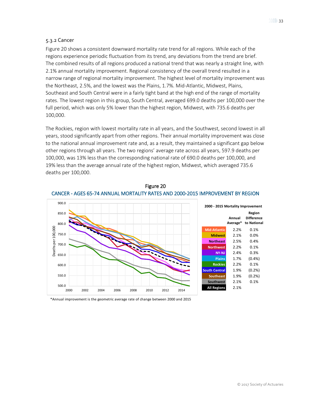#### <span id="page-32-0"></span>5.3.2 Cancer

Figure 20 shows a consistent downward mortality rate trend for all regions. While each of the regions experience periodic fluctuation from its trend, any deviations from the trend are brief. The combined results of all regions produced a national trend that was nearly a straight line, with 2.1% annual mortality improvement. Regional consistency of the overall trend resulted in a narrow range of regional mortality improvement. The highest level of mortality improvement was the Northeast, 2.5%, and the lowest was the Plains, 1.7%. Mid-Atlantic, Midwest, Plains, Southeast and South Central were in a fairly tight band at the high end of the range of mortality rates. The lowest region in this group, South Central, averaged 699.0 deaths per 100,000 over the full period, which was only 5% lower than the highest region, Midwest, with 735.6 deaths per 100,000.

The Rockies, region with lowest mortality rate in all years, and the Southwest, second lowest in all years, stood significantly apart from other regions. Their annual mortality improvement was close to the national annual improvement rate and, as a result, they maintained a significant gap below other regions through all years. The two regions' average rate across all years, 597.9 deaths per 100,000, was 13% less than the corresponding national rate of 690.0 deaths per 100,000, and 19% less than the average annual rate of the highest region, Midwest, which averaged 735.6 deaths per 100,000.



Figure 20 CANCER - AGES 65-74 ANNUAL MORTALITY RATES AND 2000-2015 IMPROVEMENT BY REGION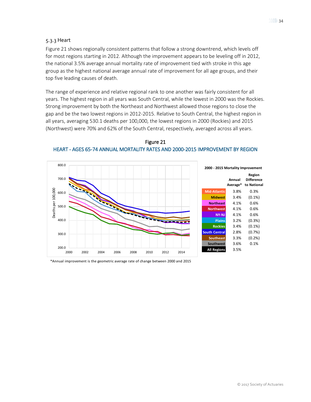### <span id="page-33-0"></span>5.3.3 Heart

Figure 21 shows regionally consistent patterns that follow a strong downtrend, which levels off for most regions starting in 2012. Although the improvement appears to be leveling off in 2012, the national 3.5% average annual mortality rate of improvement tied with stroke in this age group as the highest national average annual rate of improvement for all age groups, and their top five leading causes of death.

The range of experience and relative regional rank to one another was fairly consistent for all years. The highest region in all years was South Central, while the lowest in 2000 was the Rockies. Strong improvement by both the Northeast and Northwest allowed those regions to close the gap and be the two lowest regions in 2012-2015. Relative to South Central, the highest region in all years, averaging 530.1 deaths per 100,000, the lowest regions in 2000 (Rockies) and 2015 (Northwest) were 70% and 62% of the South Central, respectively, averaged across all years.



Figure 21 HEART - AGES 65-74 ANNUAL MORTALITY RATES AND 2000-2015 IMPROVEMENT BY REGION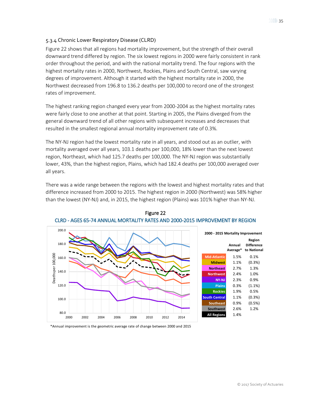### <span id="page-34-0"></span>5.3.4 Chronic Lower Respiratory Disease (CLRD)

Figure 22 shows that all regions had mortality improvement, but the strength of their overall downward trend differed by region. The six lowest regions in 2000 were fairly consistent in rank order throughout the period, and with the national mortality trend. The four regions with the highest mortality rates in 2000, Northwest, Rockies, Plains and South Central, saw varying degrees of improvement. Although it started with the highest mortality rate in 2000, the Northwest decreased from 196.8 to 136.2 deaths per 100,000 to record one of the strongest rates of improvement.

The highest ranking region changed every year from 2000-2004 as the highest mortality rates were fairly close to one another at that point. Starting in 2005, the Plains diverged from the general downward trend of all other regions with subsequent increases and decreases that resulted in the smallest regional annual mortality improvement rate of 0.3%.

The NY-NJ region had the lowest mortality rate in all years, and stood out as an outlier, with mortality averaged over all years, 103.1 deaths per 100,000, 18% lower than the next lowest region, Northeast, which had 125.7 deaths per 100,000. The NY-NJ region was substantially lower, 43%, than the highest region, Plains, which had 182.4 deaths per 100,000 averaged over all years.

There was a wide range between the regions with the lowest and highest mortality rates and that difference increased from 2000 to 2015. The highest region in 2000 (Northwest) was 58% higher than the lowest (NY-NJ) and, in 2015, the highest region (Plains) was 101% higher than NY-NJ.



Figure 22 CLRD - AGES 65-74 ANNUAL MORTALITY RATES AND 2000-2015 IMPROVEMENT BY REGION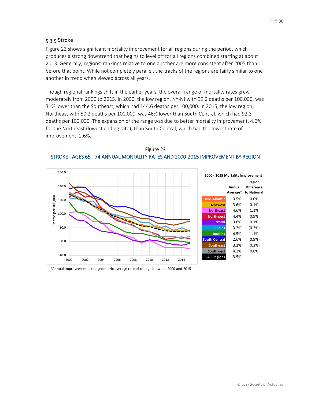### <span id="page-35-0"></span>5.3.5 Stroke

Figure 23 shows significant mortality improvement for all regions during the period, which produces a strong downtrend that begins to level off for all regions combined starting at about 2013. Generally, regions' rankings relative to one another are more consistent after 2005 than before that point. While not completely parallel, the tracks of the regions are fairly similar to one another in trend when viewed across all years.

Though regional rankings shift in the earlier years, the overall range of mortality rates grew moderately from 2000 to 2015. In 2000, the low region, NY-NJ with 99.2 deaths per 100,000, was 31% lower than the Southeast, which had 144.6 deaths per 100,000. In 2015, the low region, Northeast with 50.2 deaths per 100,000, was 46% lower than South Central, which had 92.3 deaths per 100,000. The expansion of the range was due to better mortality improvement, 4.6% for the Northeast (lowest ending rate), than South Central, which had the lowest rate of improvement, 2.6%.



Figure 23 STROKE - AGES 65 - 74 ANNUAL MORTALITY RATES AND 2000-2015 IMPROVEMENT BY REGION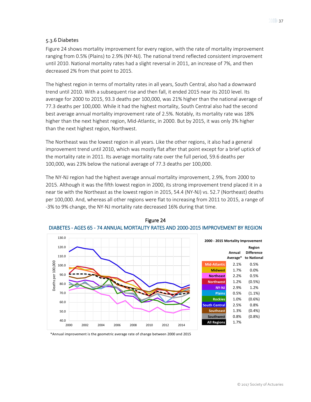### <span id="page-36-0"></span>5.3.6 Diabetes

Figure 24 shows mortality improvement for every region, with the rate of mortality improvement ranging from 0.5% (Plains) to 2.9% (NY-NJ). The national trend reflected consistent improvement until 2010. National mortality rates had a slight reversal in 2011, an increase of 7%, and then decreased 2% from that point to 2015.

The highest region in terms of mortality rates in all years, South Central, also had a downward trend until 2010. With a subsequent rise and then fall, it ended 2015 near its 2010 level. Its average for 2000 to 2015, 93.3 deaths per 100,000, was 21% higher than the national average of 77.3 deaths per 100,000. While it had the highest mortality, South Central also had the second best average annual mortality improvement rate of 2.5%. Notably, its mortality rate was 18% higher than the next highest region, Mid-Atlantic, in 2000. But by 2015, it was only 3% higher than the next highest region, Northwest.

The Northeast was the lowest region in all years. Like the other regions, it also had a general improvement trend until 2010, which was mostly flat after that point except for a brief uptick of the mortality rate in 2011. Its average mortality rate over the full period, 59.6 deaths per 100,000, was 23% below the national average of 77.3 deaths per 100,000.

The NY-NJ region had the highest average annual mortality improvement, 2.9%, from 2000 to 2015. Although it was the fifth lowest region in 2000, its strong improvement trend placed it in a near tie with the Northeast as the lowest region in 2015, 54.4 (NY-NJ) vs. 52.7 (Northeast) deaths per 100,000. And, whereas all other regions were flat to increasing from 2011 to 2015, a range of -3% to 9% change, the NY-NJ mortality rate decreased 16% during that time.





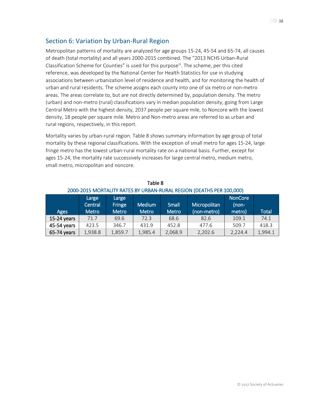### <span id="page-37-0"></span>Section 6: Variation by Urban-Rural Region

Metropolitan patterns of mortality are analyzed for age groups 15-24, 45-54 and 65-74, all causes of death (total mortality) and all years 2000-2015 combined. The "2013 NCHS Urban-Rural Classification Scheme for Counties" is used for this purpose<sup>iii</sup>. The scheme, per this cited reference, was developed by the National Center for Health Statistics for use in studying associations between urbanization level of residence and health, and for monitoring the health of urban and rural residents. The scheme assigns each county into one of six metro or non-metro areas. The areas correlate to, but are not directly determined by, population density. The metro (urban) and non-metro (rural) classifications vary in median population density, going from Large Central Metro with the highest density, 2037 people per square mile, to Noncore with the lowest density, 18 people per square mile. Metro and Non-metro areas are referred to as urban and rural regions, respectively, in this report.

Mortality varies by urban-rural region. Table 8 shows summary information by age group of total mortality by these regional classifications. With the exception of small metro for ages 15-24, large fringe metro has the lowest urban-rural mortality rate on a national basis. Further, except for ages 15-24, the mortality rate successively increases for large central metro, medium metro, small metro, micropolitan and noncore.

| <b>Ages</b> | Large<br>Central<br><b>Metro</b> | Large<br>Fringe<br><b>Metro</b> | <b>Medium</b><br><b>Metro</b> | Small<br><b>Metro</b> | Micropolitan <sup>1</sup><br>(non-metro) | <b>NonCore</b><br>$(non-$<br>metro) | <b>Total</b> |
|-------------|----------------------------------|---------------------------------|-------------------------------|-----------------------|------------------------------------------|-------------------------------------|--------------|
| 15-24 years | 71.7                             | 69.6                            | 72.3                          | 68.6                  | 82.6                                     | 109.1                               | 74.1         |
| 45-54 years | 423.5                            | 346.7                           | 431.9                         | 452.8                 | 477.6                                    | 509.7                               | 418.3        |
| 65-74 years | 1,938.8                          | 1,859.7                         | 1,985.4                       | 2,068.9               | 2,202.6                                  | 2,224.4                             | 1,994.1      |

Table 8 2000-2015 MORTALITY RATES BY URBAN-RURAL REGION (DEATHS PER 100,000)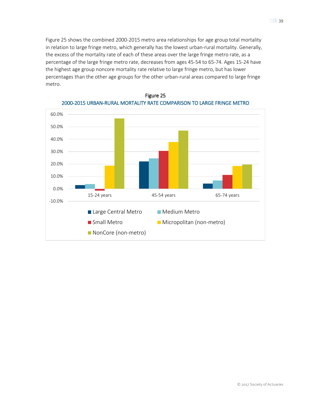Figure 25 shows the combined 2000-2015 metro area relationships for age group total mortality in relation to large fringe metro, which generally has the lowest urban-rural mortality. Generally, the excess of the mortality rate of each of these areas over the large fringe metro rate, as a percentage of the large fringe metro rate, decreases from ages 45-54 to 65-74. Ages 15-24 have the highest age group noncore mortality rate relative to large fringe metro, but has lower percentages than the other age groups for the other urban-rural areas compared to large fringe metro.



Figure 25 2000-2015 URBAN-RURAL MORTALITY RATE COMPARISON TO LARGE FRINGE METRO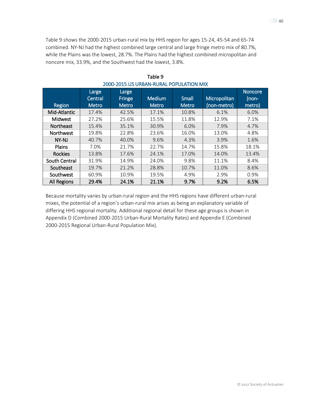Table 9 shows the 2000-2015 urban-rural mix by HHS region for ages 15-24, 45-54 and 65-74 combined. NY-NJ had the highest combined large central and large fringe metro mix of 80.7%, while the Plains was the lowest, 28.7%. The Plains had the highest combined micropolitan and noncore mix, 33.9%, and the Southwest had the lowest, 3.8%.

|                    | Large<br>Central | Large<br>Fringe | <b>Medium</b> | Small        | Micropolitan | <b>Noncore</b><br>$(non-)$ |
|--------------------|------------------|-----------------|---------------|--------------|--------------|----------------------------|
| Region             | <b>Metro</b>     | <b>Metro</b>    | <b>Metro</b>  | <b>Metro</b> | (non-metro)  | metro)                     |
| Mid-Atlantic       | 17.4%            | 42.5%           | 17.1%         | 10.8%        | 6.1%         | 6.0%                       |
| Midwest            | 27.2%            | 25.6%           | 15.5%         | 11.8%        | 12.9%        | 7.1%                       |
| <b>Northeast</b>   | 15.4%            | 35.1%           | 30.9%         | 6.0%         | 7.9%         | 4.7%                       |
| <b>Northwest</b>   | 19.8%            | 22.8%           | 23.6%         | 16.0%        | 13.0%        | 4.8%                       |
| NY-NJ              | 40.7%            | 40.0%           | 9.6%          | 4.3%         | 3.9%         | 1.6%                       |
| Plains             | 7.0%             | 21.7%           | 22.7%         | 14.7%        | 15.8%        | 18.1%                      |
| <b>Rockies</b>     | 13.8%            | 17.6%           | 24.1%         | 17.0%        | 14.0%        | 13.4%                      |
| South Central      | 31.9%            | 14.9%           | 24.0%         | 9.8%         | 11.1%        | 8.4%                       |
| Southeast          | 19.7%            | 21.2%           | 28.8%         | 10.7%        | 11.0%        | 8.6%                       |
| Southwest          | 60.9%            | 10.9%           | 19.5%         | 4.9%         | 2.9%         | 0.9%                       |
| <b>All Regions</b> | 29.4%            | 24.1%           | 21.1%         | 9.7%         | 9.2%         | 6.5%                       |

Table 9 2000-2015 US URBAN-RURAL POPULATION MIX

Because mortality varies by urban-rural region and the HHS regions have different urban-rural mixes, the potential of a region's urban-rural mix arises as being an explanatory variable of differing HHS regional mortality. Additional regional detail for these age groups is shown in Appendix D (Combined 2000-2015 Urban-Rural Mortality Rates) and Appendix E (Combined 2000-2015 Regional Urban-Rural Population Mix).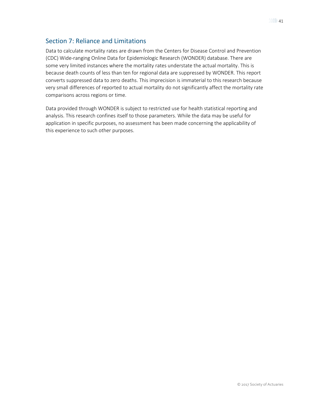## <span id="page-40-0"></span>Section 7: Reliance and Limitations

Data to calculate mortality rates are drawn from the Centers for Disease Control and Prevention (CDC) Wide-ranging Online Data for Epidemiologic Research (WONDER) database. There are some very limited instances where the mortality rates understate the actual mortality. This is because death counts of less than ten for regional data are suppressed by WONDER. This report converts suppressed data to zero deaths. This imprecision is immaterial to this research because very small differences of reported to actual mortality do not significantly affect the mortality rate comparisons across regions or time.

Data provided through WONDER is subject to restricted use for health statistical reporting and analysis. This research confines itself to those parameters. While the data may be useful for application in specific purposes, no assessment has been made concerning the applicability of this experience to such other purposes.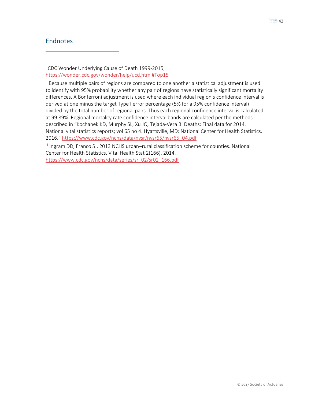### <span id="page-41-0"></span>Endnotes

 $\overline{a}$ 

<span id="page-41-1"></span><sup>i</sup> CDC Wonder Underlying Cause of Death 1999-2015, <https://wonder.cdc.gov/wonder/help/ucd.html#Top15>

<span id="page-41-2"></span>ii Because multiple pairs of regions are compared to one another a statistical adjustment is used to identify with 95% probability whether any pair of regions have statistically significant mortality differences. A Bonferroni adjustment is used where each individual region's confidence interval is derived at one minus the target Type I error percentage (5% for a 95% confidence interval) divided by the total number of regional pairs. Thus each regional confidence interval is calculated at 99.89%. Regional mortality rate confidence interval bands are calculated per the methods described in "Kochanek KD, Murphy SL, Xu JQ, Tejada-Vera B. Deaths: Final data for 2014. National vital statistics reports; vol 65 no 4. Hyattsville, MD: National Center for Health Statistics. 2016." [https://www.cdc.gov/nchs/data/nvsr/nvsr65/nvsr65\\_04.pdf](https://www.cdc.gov/nchs/data/nvsr/nvsr65/nvsr65_04.pdf)

<span id="page-41-3"></span>iii Ingram DD, Franco SJ. 2013 NCHS urban–rural classification scheme for counties. National Center for Health Statistics. Vital Health Stat 2(166). 2014. [https://www.cdc.gov/nchs/data/series/sr\\_02/sr02\\_166.pdf](https://www.cdc.gov/nchs/data/series/sr_02/sr02_166.pdf)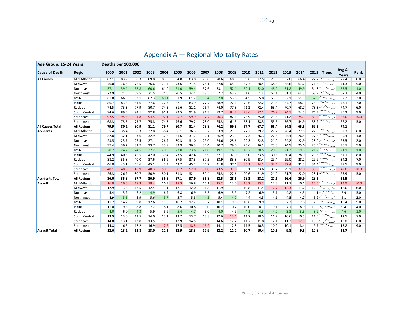<span id="page-42-0"></span>

| Age Group: 15-24 Years  |                    | Deaths per 100,000 |      |      |      |      |      |      |      |      |      |      |      |      |      |      |      |                                                   |                         |      |
|-------------------------|--------------------|--------------------|------|------|------|------|------|------|------|------|------|------|------|------|------|------|------|---------------------------------------------------|-------------------------|------|
| <b>Cause of Death</b>   | Region             | 2000               | 2001 | 2002 | 2003 | 2004 | 2005 | 2006 | 2007 | 2008 | 2009 | 2010 | 2011 | 2012 | 2013 | 2014 | 2015 | Trend                                             | <b>Avg All</b><br>Years | Rank |
| <b>All Causes</b>       | Mid-Atlantic       | 82.1               | 83.2 | 88.3 | 89.8 | 83.0 | 84.8 | 83.8 | 79.8 | 78.6 | 68.8 | 69.6 | 72.5 | 71.3 | 67.0 | 66.4 | 72.7 |                                                   | 77.4                    | 8.0  |
|                         | Midwest            | 76.0               | 76.6 | 76.5 | 76.6 | 73.4 | 73.6 | 71.5 | 74.1 | 67.8 | 65.3 | 67.7 | 68.4 | 68.8 | 65.6 | 67.2 | 71.8 |                                                   | 71.3                    | 5.0  |
|                         | Northeast          | 57.1               | 59.4 | 58.8 | 60.6 | 61.0 | 61.0 | 59.4 | 57.6 | 53.1 | 52.1 | 52.1 | 52.0 | 48.2 | 51.8 | 49.9 | 54.8 |                                                   | 55.5                    | 1.0  |
|                         | Northwest          | 72.9               | 71.5 | 69.5 | 71.5 | 74.0 | 70.5 | 74.4 | 68.5 | 67.2 | 63.8 | 61.6 | 61.4 | 62.1 | 61.7 | 64.3 | 63.9 |                                                   | 67.3                    | 4.0  |
|                         | NY-NJ              | 61.0               | 66.5 | 62.1 | 62.3 | 60.1 | 61.9 | 61.2 | 55.4 | 52.8 | 53.6 | 54.5 | 55.8 | 53.6 | 52.1 | 51.1 | 52.8 |                                                   | 57.2                    | 2.0  |
|                         | Plains             | 86.7               | 83.8 | 84.6 | 77.6 | 77.7 | 82.1 | 83.9 | 77.7 | 78.9 | 72.6 | 73.6 | 72.2 | 71.5 | 67.7 | 68.1 | 75.0 |                                                   | 77.1                    | 7.0  |
|                         | Rockies            | 74.5               | 73.3 | 77.9 | 80.7 | 74.5 | 81.6 | 81.1 | 76.7 | 74.0 | 77.3 | 71.2 | 72.4 | 68.4 | 70.7 | 68.7 | 73.3 | $\overline{\mathcal{M}}\mathcal{M}_{\mathcal{M}}$ | 74.7                    | 6.0  |
|                         | South Central      | 94.6               | 89.6 | 94.1 | 92.8 | 91.1 | 92.5 | 91.9 | 91.3 | 89.7 | 84.2 | 78.6 | 77.1 | 76.9 | 74.1 | 74.5 | 76.3 |                                                   | 85.3                    | 9.0  |
|                         | Southeast          | 97.5               | 95.3 | 94.8 | 94.5 | 97.1 | 95.7 | 99.9 | 97.7 | 90.3 | 82.6 | 76.9 | 75.0 | 73.6 | 71.2 | 75.3 | 80.4 |                                                   | 87.0                    | 10.0 |
|                         | Southwest          | 68.3               | 73.5 | 73.7 | 75.8 | 74.3 | 76.6 | 79.2 | 73.0 | 65.3 | 61.5 | 58.1 | 58.5 | 55.5 | 56.7 | 54.9 | 58.9 |                                                   | 66.2                    | 3.0  |
| <b>All Causes Total</b> | <b>All Regions</b> | 79.9               | 80.2 | 80.9 | 81.1 | 79.7 | 80.7 | 81.4 | 78.8 | 74.2 | 69.8 | 67.7 | 67.7 | 66.4 | 64.8 | 65.5 | 69.5 |                                                   | 74.1                    |      |
| Accidents               | Mid-Atlantic       | 35.4               | 35.4 | 38.3 | 37.8 | 36.4 | 36.1 | 36.3 | 36.2 | 33.9 | 27.0 | 27.2 | 29.2 | 27.2 | 26.4 | 27.5 | 27.8 |                                                   | 32.3                    | 6.0  |
|                         | Midwest            | 32.8               | 32.1 | 33.6 | 32.9 | 32.2 | 31.6 | 31.7 | 32.1 | 26.9 | 23.9 | 27.3 | 26.3 | 27.5 | 25.4 | 26.5 | 27.8 |                                                   | 29.4                    | 4.0  |
|                         | Northeast          | 23.5               | 25.7 | 26.5 | 27.1 | 26.9 | 30.3 | 31.0 | 29.0 | 24.6 | 23.6 | 22.3 | 22.3 | 21.0 | 24.2 | 22.9 | 28.0 |                                                   | 25.5                    | 2.0  |
|                         | Northwest          | 37.4               | 36.2 | 32.7 | 33.7 | 35.8 | 32.9 | 36.3 | 34.4 | 30.7 | 29.0 | 26.6 | 26.1 | 25.0 | 24.5 | 25.6 | 25.5 |                                                   | 30.7                    | 5.0  |
|                         | NY-NJ              | 20.7               | 24.7 | 24.5 | 22.2 | 20.6 | 23.0 | 23.6 | 21.0 | 19.1 | 16.9 | 18.7 | 20.5 | 20.8 | 21.2 | 19.3 | 21.2 | $\sim$                                            | 21.1                    | 1.0  |
|                         | Plains             | 44.9               | 40.5 | 45.5 | 42.0 | 39.4 | 43.5 | 42.4 | 38.9 | 37.1 | 32.0 | 35.0 | 33.5 | 30.5 | 30.4 | 28.9 | 29.3 |                                                   | 37.1                    | 8.0  |
|                         | Rockies            | 38.2               | 35.8 | 40.0 | 37.6 | 36.9 | 37.5 | 37.3 | 37.5 | 33.9 | 33.3 | 30.9 | 33.4 | 29.4 | 29.0 | 28.2 | 29.9 |                                                   | 34.2                    | 7.0  |
|                         | South Central      | 46.0               | 43.1 | 46.6 | 45.1 | 45.3 | 43.7 | 45.2 | 44.2 | 41.8 | 37.1 | 36.1 | 34.1 | 32.4 | 32.4 | 31.3 | 31.4 |                                                   | 39.5                    | 9.0  |
|                         | Southeast          | 48.1               | 48.6 | 48.9 | 48.3 | 50.9 | 50.7 | 52.0 | 51.0 | 43.5 | 37.6 | 35.1 | 33.6 | 31.7 | 29.1 | 32.0 | 35.6 |                                                   | 42.0                    | 10.0 |
|                         | Southwest          | 26.3               | 26.9 | 30.7 | 30.9 | 30.1 | 31.3 | 32.1 | 30.4 | 25.3 | 22.6 | 20.6 | 21.9 | 21.0 | 21.7 | 22.0 | 23.1 |                                                   | 25.9                    | 3.0  |
| <b>Accidents Total</b>  | <b>All Regions</b> | 36.0               | 35.8 | 37.7 | 36.9 | 36.8 | 37.1 | 37.9 | 36.8 | 32.5 | 28.6 | 28.3 | 28.2 | 27.1 | 26.4 | 26.9 | 28.5 |                                                   | 32.5                    |      |
| Assault                 | Mid-Atlantic       | 16.0               | 16.6 | 17.3 | 18.4 | 16.3 | 18.3 | 16.8 | 16.1 | 15.2 | 13.0 | 13.2 | 13.2 | 12.3 | 11.1 | 10.1 | 14.5 |                                                   | 14.9                    | 10.0 |
|                         | Midwest            | 12.9               | 13.8 | 12.5 | 12.4 | 11.1 | 12.1 | 12.0 | 11.8 | 11.9 | 11.3 | 10.8 | 11.4 | 12.7 | 12.3 | 11.2 | 12.2 | $\sim\hspace{-5mm}\sim$                           | 12.0                    | 6.0  |
|                         | Northeast          | 5.4                | 5.9  | 6.2  | 4.9  | 6.9  | 6.8  | 6.9  | 6.5  | 6.9  | 5.9  | 7.2  | 6.9  | 5.1  | 4.8  | 4.5  | 4.1  | $\sim$                                            | 5.9                     | 3.0  |
|                         | Northwest          | 4.9                | 5.5  | 5.9  | 5.6  | 5.7  | 5.7  | 5.8  | 4.5  | 5.4  | 4.7  | 4.4  | 4.5  | 4.1  | 4.5  | 4.7  | 5.9  | $\sim$                                            | 5.1                     | 2.0  |
|                         | NY-NJ              | 11.7               | 14.7 | 9.8  | 12.6 | 11.0 | 10.7 | 12.2 | 10.7 | 10.1 | 9.6  | 10.6 | 9.9  | 9.8  | 7.7  | 7.8  |      | $7.9$ \cdots $\sim$                               | 10.4                    | 5.0  |
|                         | Plains             | 11.0               | 9.8  | 8.8  | 7.2  | 8.1  | 8.6  | 10.8 | 9.0  | 10.2 | 10.2 | 10.0 | 8.7  | 9.1  | 7.1  | 8.9  |      | $13.0 \sim \sim$                                  | 9.4                     | 4.0  |
|                         | Rockies            | 4.0                | 6.0  | 4.3  | 5.9  | 5.9  | 5.4  | 4.7  | 5.0  | 4.0  | 4.9  | 4.1  | 4.3  | 4.0  | 3.3  | 3.8  |      | $3.9$ M                                           | 4.6                     | 1.0  |
|                         | South Central      | 13.9               | 13.0 | 13.5 | 14.0 | 13.1 | 13.7 | 13.7 | 13.8 | 12.6 | 13.1 | 11.7 | 10.5 | 11.2 | 10.6 | 10.5 | 11.6 |                                                   | 12.5                    | 7.0  |
|                         | Southeast          | 14.0               | 13.1 | 13.8 | 13.5 | 11.5 | 12.9 | 14.5 | 15.5 | 14.6 | 12.2 | 11.7 | 11.8 | 12.1 | 11.7 | 12.1 | 13.0 | $\sim$                                            | 13.0                    | 8.0  |
|                         | Southwest          | 14.8               | 16.6 | 17.2 | 16.9 | 17.2 | 17.5 | 18.3 | 16.2 | 14.1 | 12.8 | 11.5 | 10.5 | 10.2 | 10.1 | 8.4  | 9.7  |                                                   | 13.8                    | 9.0  |
| <b>Assault Total</b>    | <b>All Regions</b> | 12.6               | 13.2 | 12.8 | 13.0 | 12.1 | 12.9 | 13.3 | 12.9 | 12.2 | 11.2 | 10.7 | 10.4 | 10.5 | 9.8  | 9.5  | 10.8 |                                                   | 11.7                    |      |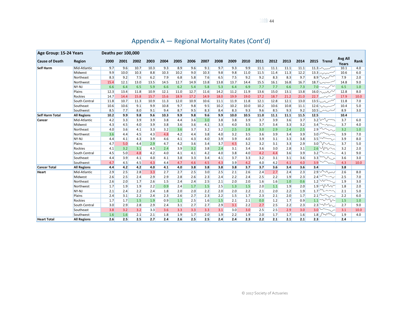| Age Group: 15-24 Years |                    | Deaths per 100,000 |      |      |      |      |      |      |      |      |      |      |      |      |      |      |      |                          |                         |      |
|------------------------|--------------------|--------------------|------|------|------|------|------|------|------|------|------|------|------|------|------|------|------|--------------------------|-------------------------|------|
| <b>Cause of Death</b>  | Region             | 2000               | 2001 | 2002 | 2003 | 2004 | 2005 | 2006 | 2007 | 2008 | 2009 | 2010 | 2011 | 2012 | 2013 | 2014 | 2015 | Trend                    | <b>Avg All</b><br>Years | Rank |
| <b>Self Harm</b>       | Mid-Atlantic       | 9.7                | 9.6  | 10.7 | 10.3 | 9.3  | 8.9  | 9.6  | 9.1  | 9.7  | 9.3  | 9.9  | 11.1 | 11.1 | 11.1 | 11.1 |      | 11.3                     | 10.1                    | 4.0  |
|                        | Midwest            | 9.9                | 10.0 | 10.3 | 8.8  | 10.3 | 10.2 | 9.0  | 10.3 | 9.8  | 9.8  | 11.0 | 11.5 | 11.4 | 11.3 | 12.2 |      | $13.3$ $\sim$            | 10.6                    | 6.0  |
|                        | Northeast          | 8.3                | 9.2  | 7.5  | 6.2  | 7.9  | 6.8  | 5.8  | 7.6  | 6.5  | 7.5  | 9.2  | 9.2  | 8.3  | 8.3  | 9.7  |      | 8.9 $\sim$               | 7.9                     | 2.0  |
|                        | Northwest          | 15.4               | 12.1 | 13.0 | 13.5 | 14.5 | 12.7 | 14.9 | 13.8 | 13.8 | 13.7 | 14.4 | 15.5 | 16.1 | 16.8 | 16.7 | 18.7 |                          | 14.8                    | 9.0  |
|                        | NY-NJ              | 6.6                | 6.4  | 6.5  | 5.9  | 6.6  | 6.2  | 5.4  | 5.8  | 5.3  | 6.4  | 6.9  | 7.7  | 7.7  | 6.6  | 7.3  |      | $7.0 - \sqrt{2}$         | 6.5                     | 1.0  |
|                        | Plains             | 12.3               | 13.4 | 11.8 | 10.9 | 12.1 | 11.0 | 12.7 | 11.6 | 14.2 | 11.2 | 11.9 | 13.6 | 15.0 | 13.1 | 13.8 |      | $16.0 \sim 10^{-10}$     | 12.8                    | 8.0  |
|                        | Rockies            | 14.7               | 14.4 | 15.8 | 15.7 | 15.6 | 18.9 | 17.2 | 14.9 | 18.0 | 19.9 | 19.0 | 17.2 | 18.7 | 21.2 | 21.0 |      | 22.7 $\sim$              | 17.9                    | 10.0 |
|                        | South Central      | 11.8               | 10.7 | 11.3 | 10.9 | 11.3 | 12.0 | 10.9 | 10.6 | 11.1 | 11.9 | 11.8 | 12.1 | 12.8 | 12.1 | 13.0 |      | 13.5 $\sim$              | 11.8                    | 7.0  |
|                        | Southeast          | 10.6               | 10.6 | 9.1  | 9.9  | 10.8 | 9.7  | 9.8  | 9.5  | 10.2 | 10.2 | 10.0 | 10.2 | 10.6 | 10.8 | 11.1 |      | $12.6$ $\sim$            | 10.4                    | 5.0  |
|                        | Southwest          | 8.5                | 7.7  | 8.0  | 9.1  | 9.4  | 8.7  | 9.5  | 8.3  | 8.4  | 8.3  | 9.3  | 9.6  | 8.5  | 9.3  | 9.2  |      | $10.5$ $\sim\sim\sim$    | 8.9                     | 3.0  |
| <b>Self Harm Total</b> | <b>All Regions</b> | 10.2               | 9.9  | 9.8  | 9.6  | 10.3 | 9.9  | 9.8  | 9.6  | 9.9  | 10.0 | 10.5 | 11.0 | 11.1 | 11.1 | 11.5 | 12.5 |                          | 10.4                    |      |
| Cancer                 | Mid-Atlantic       | 4.2                | 3.3  | 3.9  | 3.9  | 3.8  | 4.4  | 3.6  | 3.0  | 3.8  | 3.8  | 3.9  | 3.7  | 3.9  | 3.6  | 3.7  |      | $3.2$ $\sqrt{2}$         | 3.7                     | 6.0  |
|                        | Midwest            | 4.3                | 4.5  | 4.0  | 3.9  | 3.8  | 3.6  | 3.6  | 4.1  | 3.3  | 4.0  | 3.5  | 3.7  | 3.4  | 3.3  | 3.2  | 3.4  | $\sim$                   | 3.7                     | 4.0  |
|                        | Northeast          | 4.0                | 3.6  | 4.1  | 3.3  | 3.2  | 3.6  | 3.7  | 3.2  | 3.2  | 2.5  | 2.8  | 3.0  | 2.9  | 2.4  | 2.5  | 2.9  | $\sqrt{2}$               | 3.2                     | 1.0  |
|                        | Northwest          | 3.6                | 4.4  | 4.5  | 4.3  | 4.8  | 4.2  | 4.4  | 3.8  | 4.0  | 3.2  | 3.5  | 3.6  | 3.9  | 3.4  | 3.9  | 3.0  | $\overline{\phantom{m}}$ | 3.9                     | 7.0  |
|                        | NY-NJ              | 4.4                | 4.1  | 4.3  | 3.9  | 4.6  | 4.1  | 4.3  | 4.0  | 3.9  | 3.9  | 4.0  | 3.9  | 3.1  | 3.3  | 3.8  | 3.5  | $\overline{\sim}$        | 3.9                     | 8.0  |
|                        | Plains             | 4.7                | 5.0  | 4.4  | 2.9  | 4.7  | 4.2  | 3.6  | 3.4  | 3.7  | 4.5  | 3.2  | 3.2  | 3.1  | 3.3  | 2.9  | 3.0  | $\sim$                   | 3.7                     | 5.0  |
|                        | <b>Rockies</b>     | 4.1                | 3.2  | 3.1  | 4.3  | 2.4  | 3.9  | 3.2  | 3.8  | 2.4  | 3.1  | 3.4  | 3.6  | 3.0  | 2.8  | 3.1  | 2.6  | W                        | 3.2                     | 2.0  |
|                        | South Central      | 4.5                | 5.0  | 4.8  | 4.2  | 4.0  | 4.1  | 4.1  | 4.2  | 4.0  | 3.8  | 4.0  | 4.2  | 4.4  | 3.6  | 3.9  | 3.2  |                          | 4.1                     | 9.0  |
|                        | Southeast          | 4.4                | 3.9  | 4.1  | 4.0  | 4.1  | 3.8  | 3.3  | 3.4  | 4.1  | 3.7  | 3.3  | 3.2  | 3.1  | 3.1  | 3.6  | 3.3  | $\sim$                   | 3.6                     | 3.0  |
|                        | Southwest          | 4.7                | 4.5  | 4.5  | 4.3  | 4.4  | 4.7  | 4.6  | 4.5  | 4.3  | 3.9  | 4.2  | 4.0  | 4.2  | 4.1  | 4.0  | 3.9  | $\widetilde{}$           | 4.3                     | 10.0 |
| <b>Cancer Total</b>    | <b>All Regions</b> | 4.4                | 4.2  | 4.2  | 4.0  | 4.1  | 4.0  | 3.8  | 3.8  | 3.8  | 3.8  | 3.7  | 3.7  | 3.6  | 3.4  | 3.6  | 3.4  |                          | 3.8                     |      |
| Heart                  | Mid-Atlantic       | 2.9                | 2.5  | 2.8  | 3.3  | 2.7  | 2.7  | 2.5  | 3.0  | 2.5  | 2.1  | 2.6  | 2.4  | 2.7  | 2.4  | 2.3  | 2.9  | Mw                       | 2.6                     | 8.0  |
|                        | Midwest            | 2.6                | 2.5  | 2.4  | 2.9  | 2.9  | 2.8  | 2.6  | 2.3  | 2.4  | 2.2  | 2.4  | 2.5  | 2.2  | 1.9  | 2.3  | 2.4  |                          | 2.5                     | 7.0  |
|                        | Northeast          | 2.6                | 2.0  | 1.7  | 2.6  | 1.5  | 2.4  | 2.4  | 2.5  | 2.1  | 2.0  | 2.0  | 1.6  | 1.6  | 1.0  | 0.6  | 1.2  | w                        | 1.9                     | 3.0  |
|                        | Northwest          | 1.7                | 1.9  | 1.9  | 2.2  | 0.9  | 2.4  | 1.7  | 1.5  | 2.5  | 1.3  | 1.5  | 2.0  | 1.1  | 1.9  | 2.0  |      | $1.9$ WW                 | 1.8                     | 2.0  |
|                        | NY-NJ              | 2.1                | 2.4  | 2.2  | 2.4  | 1.8  | 2.0  | 2.0  | 2.2  | 2.0  | 2.0  | 2.2  | 2.1  | 2.0  | 2.2  | 1.9  |      | $1.7$ $\sim$ $\sim$      | 2.1                     | 5.0  |
|                        | Plains             | 2.4                | 3.1  | 2.2  | 2.4  | 2.3  | 2.6  | 2.7  | 2.3  | 2.2  | 1.5  | 1.7  | 2.3  | 2.1  | 2.0  | 1.7  |      | $2.1$ $\sim$             | 2.2                     | 6.0  |
|                        | <b>Rockies</b>     | 1.7                | 1.7  | 1.5  | 1.9  | 0.9  | 1.1  | 2.5  | 1.6  | 1.5  | 2.1  | 2.1  | 0.0  | 1.2  | 1.7  | 0.9  |      | $1.1$ $\sim$ $\sim$      | 1.5                     | 1.0  |
|                        | South Central      | 3.0                | 2.9  | 2.8  | 2.9  | 2.4  | 3.1  | 2.7  | 2.7  | 2.9  | 3.1  | 2.2  | 2.7  | 2.5  | 2.2  | 2.3  |      | $2.3$ Wh                 | 2.7                     | 9.0  |
|                        | Southeast          | 3.8                | 3.2  | 3.2  | 3.3  | 3.6  | 3.3  | 3.3  | 3.3  | 3.1  | 3.0  | 3.0  | 2.5  | 2.5  | 2.9  | 3.0  | 3.0  |                          | 3.1                     | 10.0 |
|                        | Southwest          | 1.6                | 1.6  | 2.1  | 2.1  | 1.8  | 1.9  | 1.7  | 2.0  | 1.9  | 2.2  | 1.9  | 2.0  | 1.7  | 1.7  | 1.6  |      | $1.8$ $\sim$             | 1.9                     | 4.0  |
| <b>Heart Total</b>     | <b>All Regions</b> | 2.6                | 2.5  | 2.5  | 2.7  | 2.4  | 2.6  | 2.5  | 2.5  | 2.4  | 2.4  | 2.3  | 2.2  | 2.1  | 2.1  | 2.1  | 2.3  |                          | 2.4                     |      |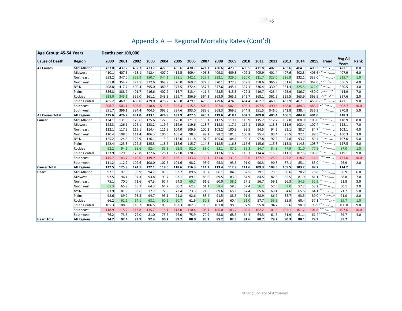| Age Group: 45-54 Years  |                    | Deaths per 100,000 |       |       |       |       |       |       |       |       |       |       |       |       |       |       |              |                           |                  |      |
|-------------------------|--------------------|--------------------|-------|-------|-------|-------|-------|-------|-------|-------|-------|-------|-------|-------|-------|-------|--------------|---------------------------|------------------|------|
| <b>Cause of Death</b>   | Region             | 2000               | 2001  | 2002  | 2003  | 2004  | 2005  | 2006  | 2007  | 2008  | 2009  | 2010  | 2011  | 2012  | 2013  | 2014  | 2015         | Trend                     | Avg All<br>Years | Rank |
| <b>All Causes</b>       | Mid-Atlantic       | 433.0              | 437.7 | 437.3 | 433.2 | 427.8 | 435.6 | 430.7 | 421.1 | 420.6 | 423.3 | 409.5 | 411.8 | 402.9 | 403.6 | 404.1 | 409.3        |                           | 421.1            | 8.0  |
|                         | Midwest            | 410.1              | 407.6 | 418.1 | 412.4 | 407.0 | 412.5 | 409.4 | 405.8 | 409.8 | 409.3 | 402.3 | 405.9 | 401.4 | 407.6 | 402.3 | 405.6        | Mm                        | 407.9            | 6.0  |
|                         | Northeast          | 353.2              | 347.0 | 353.9 | 350.7 | 344.1 | 338.1 | 342.1 | 329.9 | 333.1 | 329.0 | 320.0 | 321.7 | 323.0 | 326.9 | 332.1 | 333.0        |                           | 335.7            | 1.0  |
|                         | Northwest          | 351.8              | 354.7 | 373.5 | 372.6 | 368.9 | 376.0 | 369.7 | 372.5 | 370.1 | 377.8 | 359.5 | 358.6 | 366.9 | 361.6 | 364.7 | 362.0        | $\bar{m}$                 | 366.5            | 4.0  |
|                         | NY-NJ              | 408.8              | 417.7 | 400.4 | 395.0 | 380.3 | 377.5 | 372.4 | 357.7 | 347.6 | 345.4 | 337.1 | 336.4 | 330.0 | 331.4 | 325.5 | 322.0        |                           | 360.5            | 3.0  |
|                         | Plains             | 386.8              | 388.7 | 401.7 | 416.6 | 402.2 | 416.7 | 413.4 | 411.4 | 423.5 | 415.3 | 422.3 | 419.7 | 423.4 | 425.9 | 436.7 | 430.0 $\sim$ |                           | 414.9            | 7.0  |
|                         | <b>Rockies</b>     | 338.0              | 345.1 | 356.0 | 361.2 | 348.3 | 359.7 | 356.9 | 364.3 | 363.0 | 365.6 | 342.7 | 368.1 | 361.5 | 359.5 | 363.9 | 363.9        | $\sim$                    | 357.6            | 2.0  |
|                         | South Central      | 465.2              | 469.5 | 480.0 | 479.0 | 476.2 | 485.8 | 479.1 | 476.6 | 479.6 | 474.3 | 464.4 | 462.7 | 460.8 | 462.9 | 467.1 | 456.8        |                           | 471.1            | 9.0  |
|                         | Southeast          | 508.7              | 503.1 | 508.6 | 518.8 | 519.3 | 522.4 | 515.5 | 503.5 | 507.4 | 502.3 | 496.1 | 497.5 | 490.3 | 488.0 | 484.3 | 485.5        |                           | 502.7            | 10.0 |
|                         | Southwest          | 391.7              | 396.1 | 394.4 | 404.5 | 393.5 | 397.6 | 393.0 | 383.6 | 368.3 | 369.5 | 344.8 | 351.5 | 346.0 | 342.8 | 338.4 | 336.9        |                           | 370.8            | 5.0  |
| <b>All Causes Total</b> | <b>All Regions</b> | 425.6              | 426.7 | 431.0 | 433.1 | 426.8 | 431.9 | 427.5 | 420.3 | 419.6 | 418.1 | 407.1 | 409.8 | 405.4 | 406.1 | 404.8 | 404.0        |                           | 418.3            |      |
| Cancer                  | Mid-Atlantic       | 134.1              | 131.0 | 126.6 | 125.6 | 122.0 | 126.8 | 121.9 | 119.1 | 117.5 | 119.1 | 115.9 | 115.2 | 112.2 | 107.0 | 108.9 | 103.0        |                           | 118.9            | 8.0  |
|                         | Midwest            | 128.3              | 126.1 | 126.1 | 123.2 | 119.7 | 119.9 | 119.6 | 118.7 | 118.3 | 117.1 | 117.1 | 115.0 | 113.8 | 111.9 | 108.4 | 107.4        |                           | 118.1            | 7.0  |
|                         | Northeast          | 122.1              | 117.2 | 115.1 | 114.4 | 111.9 | 104.0 | 109.9 | 100.2 | 103.2 | 100.9 | 99.5  | 94.5  | 94.6  | 93.1  | 88.7  | 84.7         |                           | 103.1            | 4.0  |
|                         | Northwest          | 110.4              | 108.5 | 111.4 | 106.3 | 100.6 | 105.4 | 98.3  | 99.1  | 98.2  | 101.3 | 100.8 | 95.4  | 93.4  | 95.5  | 92.1  | 89.5         |                           | 100.3            | 3.0  |
|                         | NY-NJ              | 125.2              | 124.6 | 122.9 | 116.1 | 115.9 | 112.0 | 111.8 | 107.6 | 105.6 | 104.1 | 99.1  | 97.8  | 97.2  | 94.8  | 93.7  | 89.4         |                           | 107.0            | 5.0  |
|                         | Plains             | 122.4              | 123.8 | 122.8 | 125.3 | 118.6 | 118.6 | 115.7 | 114.8 | 118.5 | 116.8 | 116.6 | 115.6 | 115.3 | 113.3 | 114.3 | 108.7        |                           | 117.5            | 6.0  |
|                         | <b>Rockies</b>     | 92.2               | 94.6  | 95.6  | 92.4  | 85.3  | 92.8  | 92.0  | 88.0  | 83.1  | 87.1  | 85.3  | 84.7  | 84.3  | 77.9  | 81.0  | 77.5         | $\sim$                    | 87.0             | 1.0  |
|                         | South Central      | 133.9              | 129.3 | 128.8 | 127.6 | 126.1 | 123.0 | 120.7 | 119.9 | 117.6 | 116.3 | 118.3 | 114.4 | 115.3 | 111.1 | 107.5 | 103.6        |                           | 119.1            | 9.0  |
|                         | Southeast          | 145.7              | 143.7 | 140.6 | 139.9 | 138.5 | 138.1 | 133.6 | 130.1 | 131.6 | 131.5 | 130.6 | 127.7 | 125.9 | 123.2 | 118.7 | 114.5        |                           | 131.6            | 10.0 |
|                         | Southwest          | 111.2              | 112.7 | 109.6 | 108.0 | 102.5 | 101.6 | 98.2  | 98.9  | 95.3  | 93.5  | 91.0  | 90.3  | 90.8  | 87.1  | 85.1  | 83.0         |                           | 96.9             | 2.0  |
| <b>Cancer Total</b>     | <b>All Regions</b> | 127.5              | 125.8 | 124.1 | 122.1 | 119.0 | 118.6 | 116.3 | 114.2 | 113.4 | 112.8 | 111.6 | 109.3 | 108.5 | 105.5 | 103.2 | 99.7         |                           | 114.2            |      |
| Heart                   | Mid-Atlantic       | 97.1               | 97.0  | 96.9  | 94.2  | 89.8  | 93.7  | 89.6  | 86.7  | 86.1  | 84.5  | 82.5  | 79.1  | 79.3  | 80.6  | 78.2  | 78.8         |                           | 86.9             | 6.0  |
|                         | Midwest            | 97.5               | 96.1  | 97.3  | 93.8  | 93.7  | 93.1  | 89.1  | 88.6  | 89.5  | 83.0  | 84.9  | 84.5  | 82.8  | 85.5  | 81.9  | 81.1         |                           | 88.8             | 7.0  |
|                         | Northeast          | 75.1               | 70.0  | 71.6  | 67.3  | 67.7  | 64.3  | 60.7  | 61.6  | 60.0  | 58.1  | 57.1  | 56.7  | 59.1  | 56.3  | 54.5  | 52.5         |                           | 61.8             | 3.0  |
|                         | Northwest          | 65.3               | 65.8  | 66.7  | 64.3  | 64.7  | 60.7  | 62.2  | 61.1  | 58.4  | 58.5  | 57.4  | 56.2  | 57.5  | 53.0  | 57.2  | 53.2         |                           | 60.1             | 2.0  |
|                         | NY-NJ              | 83.9               | 81.9  | 83.6  | 77.7  | 72.8  | 73.4  | 73.3  | 71.6  | 69.6  | 65.1  | 67.4  | 65.6  | 63.4  | 64.6  | 65.6  | 64.1         |                           | 71.2             | 5.0  |
|                         | Plains             | 92.6               | 89.2  | 93.5  | 94.7  | 95.1  | 91.8  | 92.6  | 88.4  | 91.5  | 88.5  | 91.9  | 88.9  | 86.7  | 88.7  | 93.5  |              | $89.0 \vee \wedge \wedge$ | 91.0             | 8.0  |
|                         | <b>Rockies</b>     | 66.2               | 61.1  | 64.1  | 63.1  | 60.2  | 60.7  | 61.6  | 60.8  | 61.6  | 60.4  | 51.0  | 57.7  | 55.5  | 55.9  | 60.4  | 57.1         |                           | 59.7             | 1.0  |
|                         | South Central      | 105.3              | 108.6 | 110.2 | 106.5 | 103.6 | 102.3 | 102.3 | 99.6  | 101.8 | 98.5  | 97.9  | 95.8  | 94.7  | 95.6  | 98.3  | 96.9         |                           | 100.8            | 9.0  |
|                         | Southeast          | 118.9              | 115.2 | 113.8 | 115.7 | 115.1 | 113.0 | 110.4 | 105.1 | 106.0 | 103.2 | 102.5 | 102.2 | 101.9 | 102.1 | 101.2 | 101.8        |                           | 107.6            | 10.0 |
|                         | Southwest          | 76.2               | 73.3  | 79.0  | 81.0  | 75.5  | 76.0  | 75.9  | 70.9  | 68.8  | 68.5  | 64.4  | 64.3  | 61.5  | 61.9  | 61.1  | 61.4         |                           | 69.7             | 4.0  |
| <b>Heart Total</b>      | <b>All Regions</b> | 94.2               | 92.4  | 93.9  | 92.4  | 90.2  | 89.7  | 88.0  | 85.2  | 85.2  | 82.3  | 81.6  | 80.7  | 79.7  | 80.3  | 80.1  | 79.3         |                           | 85.7             |      |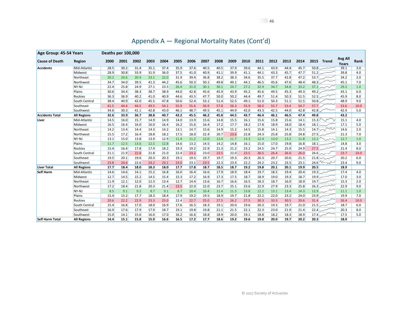| Age Group: 45-54 Years |                    | Deaths per 100,000 |      |      |      |      |      |      |      |      |      |      |      |      |      |      |            |               |                  |      |
|------------------------|--------------------|--------------------|------|------|------|------|------|------|------|------|------|------|------|------|------|------|------------|---------------|------------------|------|
| <b>Cause of Death</b>  | Region             | 2000               | 2001 | 2002 | 2003 | 2004 | 2005 | 2006 | 2007 | 2008 | 2009 | 2010 | 2011 | 2012 | 2013 | 2014 | 2015       | Trend         | Avg All<br>Years | Rank |
| <b>Accidents</b>       | Mid-Atlantic       | 28.5               | 30.2 | 31.4 | 35.1 | 37.4 | 35.9 | 37.6 | 40.5 | 40.5 | 37.9 | 39.6 | 44.1 | 43.9 | 44.4 | 45.7 | 50.8       |               | 39.1             | 3.0  |
|                        | Midwest            | 28.9               | 30.8 | 33.9 | 31.9 | 36.0 | 37.5 | 41.0 | 40.9 | 41.1 | 39.9 | 41.1 | 44.1 | 43.3 | 45.7 | 47.7 | $51.2$ $-$ |               | 39.8             | 4.0  |
|                        | Northeast          | 20.2               | 20.6 | 20.4 | 23.1 | 22.0 | 31.9 | 39.4 | 36.8 | 38.2 | 38.3 | 34.6 | 35.5 | 37.7 | 42.8 | 47.2 | 53.7       |               | 34.2             | 2.0  |
|                        | Northwest          | 34.7               | 34.0 | 39.5 | 41.3 | 44.2 | 45.6 | 50.3 | 50.1 | 49.8 | 49.1 | 44.1 | 46.5 | 45.6 | 47.6 | 48.4 | 48.3       |               | 45.1             | 7.0  |
|                        | NY-NJ              | 22.4               | 25.8 | 24.9 | 27.1 | 23.5 | 26.4 | 31.0 | 30.1 | 30.1 | 24.7 | 27.2 | 32.9 | 34.7 | 34.8 | 33.2 |            | 37.1 $\sim$   | 29.2             | 1.0  |
|                        | Plains             | 30.6               | 34.4 | 38.3 | 38.7 | 38.9 | 44.0 | 42.8 | 45.6 | 45.9 | 43.9 | 45.2 | 45.6 | 49.5 | 45.3 | 49.3 | 49.2       |               | 43.1             | 6.0  |
|                        | <b>Rockies</b>     | 36.3               | 36.9 | 40.2 | 41.0 | 40.9 | 44.6 | 43.5 | 47.7 | 50.0 | 50.2 | 44.4 | 49.7 | 51.4 | 50.3 | 51.5 | 52.5       |               | 45.9             | 8.0  |
|                        | South Central      | 38.4               | 40.9 | 42.0 | 45.5 | 47.8 | 50.6 | 52.4 | 53.1 | 51.4 | 52.5 | 49.1 | 51.0 | 50.3 | 51.1 | 51.5 | 50.8       |               | 48.9             | 9.0  |
|                        | Southeast          | 41.5               | 44.4 | 44.5 | 49.5 | 54.1 | 55.9 | 55.6 | 56.9 | 57.8 | 56.3 | 55.9 | 58.0 | 55.7 | 53.4 | 54.7 | 57.7       |               | 53.6             | 10.0 |
|                        | Southwest          | 34.6               | 30.3 | 41.1 | 42.8 | 43.0 | 46.1 | 48.7 | 49.5 | 45.1 | 44.9 | 42.0 | 43.3 | 42.5 | 44.0 | 42.8 | 42.8       |               | 42.9             | 5.0  |
| <b>Accidents Total</b> | <b>All Regions</b> | 32.6               | 33.9 | 36.7 | 38.8 | 40.7 | 43.2 | 45.5 | 46.2 | 45.8 | 44.5 | 43.7 | 46.4 | 46.1 | 46.5 | 47.4 | 49.8       |               | 43.2             |      |
| Liver                  | Mid-Atlantic       | 14.5               | 16.0 | 15.7 | 14.9 | 14.9 | 14.0 | 13.9 | 15.6 | 14.8 | 15.5 | 16.1 | 15.6 | 15.8 | 15.6 | 14.1 |            | 15.3          | 15.1             | 4.0  |
|                        | Midwest            | 16.5               | 16.4 | 16.0 | 16.0 | 16.4 | 16.2 | 15.6 | 16.4 | 17.2 | 17.7 | 18.2 | 17.8 | 18.9 | 18.0 | 18.4 |            | $18.1$ $\sim$ | 17.1             | 5.0  |
|                        | Northeast          | 14.2               | 13.4 | 14.4 | 14.3 | 14.2 | 13.1 | 14.7 | 15.6 | 14.9 | 15.2 | 14.5 | 15.8 | 14.1 | 14.3 | 15.5 |            | 14.7 $\sim$   | 14.6             | 2.0  |
|                        | Northwest          | 15.5               | 17.2 | 16.4 | 18.8 | 18.2 | 17.5 | 18.0 | 22.4 | 20.7 | 23.6 | 22.8 | 24.3 | 25.8 | 25.8 | 24.8 |            | 27.5          | 21.3             | 7.0  |
|                        | NY-NJ              | 13.1               | 15.0 | 13.8 | 13.9 | 12.9 | 11.4 | 11.2 | 12.0 | 12.0 | 11.7 | 13.3 | 12.4 | 13.0 | 13.2 | 11.8 |            | 12.1          | 12.7             | 1.0  |
|                        | Plains             | 11.7               | 12.5 | 13.6 | 12.5 | 12.8 | 14.6 | 13.2 | 14.5 | 14.2 | 14.8 | 16.1 | 15.0 | 17.0 | 19.8 | 16.8 |            | 18.1 $\sim$   | 14.8             | 3.0  |
|                        | Rockies            | 15.4               | 16.4 | 17.8 | 17.9 | 18.2 | 19.3 | 19.2 | 22.9 | 21.3 | 21.2 | 23.2 | 24.5 | 24.7 | 25.9 | 24.9 | 27.5       |               | 21.4             | 8.0  |
|                        | South Central      | 21.1               | 21.9 | 22.8 | 21.8 | 21.0 | 22.4 | 23.2 | 23.0 | 23.5 | 22.0 | 23.5 | 26.5 | 26.4 | 26.0 | 26.0 |            | $26.6$ $\sim$ | 23.7             | 10.0 |
|                        | Southeast          | 19.5               | 20.1 | 19.6 | 20.3 | 20.3 | 19.1 | 19.5 | 19.7 | 19.7 | 19.3 | 20.3 | 20.3 | 20.7 | 20.6 | 21.5 |            | $21.8$ ~      | 20.2             | 6.0  |
|                        | Southwest          | 23.8               | 24.6 | 22.6 | 24.2 | 23.1 | 23.0 | 23.1 | 23.5 | 22.3 | 23.4 | 22.2 | 24.2 | 23.2 | 23.5 | 23.1 |            | $24.6$ W w    | 23.4             | 9.0  |
| Liver Total            | <b>All Regions</b> | 17.7               | 18.4 | 18.0 | 18.3 | 18.0 | 17.7 | 17.8 | 18.7 | 18.5 | 18.7 | 19.2 | 19.8 | 20.1 | 20.1 | 19.9 | 20.5       |               | 18.9             |      |
| <b>Self Harm</b>       | Mid-Atlantic       | 14.6               | 14.6 | 14.1 | 15.2 | 16.8 | 16.0 | 16.4 | 16.6 | 17.9 | 18.9 | 18.4 | 19.7 | 18.5 | 19.4 | 20.4 |            | 19.3          | 17.4             | 4.0  |
|                        | Midwest            | 12.7               | 14.5 | 15.2 | 14.5 | 15.4 | 15.3 | 17.2 | 16.9 | 17.3 | 17.5 | 18.7 | 18.9 | 19.0 | 19.3 | 18.7 | 19.9       |               | 17.0             | 3.0  |
|                        | Northeast          | 11.9               | 12.1 | 12.0 | 12.3 | 13.4 | 12.7 | 14.4 | 13.6 | 16.7 | 16.6 | 16.5 | 18.3 | 18.7 | 16.0 | 18.9 | 19.7       |               | 15.3             | 2.0  |
|                        | Northwest          | 17.2               | 18.4 | 21.8 | 20.3 | 21.4 | 23.5 | 22.0 | 22.0 | 23.7 | 25.1 | 23.6 | 22.9 | 27.9 | 23.3 | 25.8 |            | $26.3$ $\sim$ | 22.9             | 9.0  |
|                        | NY-NJ              | 8.5                | 9.1  | 9.2  | 8.7  | 9.1  | 8.7  | 10.4 | 10.4 | 11.4 | 11.3 | 13.8 | 12.2 | 13.1 | 13.4 | 14.3 | 12.9       |               | 11.1             | 1.0  |
|                        | Plains             | 15.4               | 15.2 | 17.7 | 18.3 | 18.4 | 17.9 | 19.2 | 19.5 | 18.9 | 19.7 | 21.8 | 22.2 | 22.0 | 23.2 | 24.0 | 23.9       |               | 19.9             | 7.0  |
|                        | <b>Rockies</b>     | 20.6               | 22.2 | 22.9 | 23.3 | 25.0 | 22.4 | 22.7 | 25.0 | 27.5 | 26.2 | 27.5 | 30.3 | 33.3 | 30.5 | 29.6 |            | 31.4          | 26.4             | 10.0 |
|                        | South Central      | 15.4               | 16.8 | 17.0 | 18.0 | 16.9 | 17.6 | 16.5 | 18.3 | 19.1 | 20.0 | 19.6 | 20.3 | 19.3 | 19.7 | 21.0 |            | $21.5$ $\sim$ | 18.7             | 6.0  |
|                        | Southeast          | 16.9               | 17.6 | 17.9 | 17.9 | 18.7 | 19.1 | 19.8 | 19.8 | 21.1 | 21.5 | 22.1 | 22.3 | 23.0 | 21.9 | 21.4 | 22.4       |               | 20.3             | 8.0  |
|                        | Southwest          | 15.0               | 14.1 | 15.6 | 16.0 | 17.0 | 16.2 | 16.6 | 18.8 | 18.9 | 20.0 | 19.1 | 18.8 | 18.2 | 18.3 | 18.9 | $17.4$ $-$ |               | 17.5             | 5.0  |
| <b>Self Harm Total</b> | <b>All Regions</b> | 14.4               | 15.1 | 15.8 | 15.9 | 16.6 | 16.5 | 17.2 | 17.7 | 18.6 | 19.2 | 19.6 | 19.8 | 20.0 | 19.7 | 20.2 | 20.3       |               | 18.0             |      |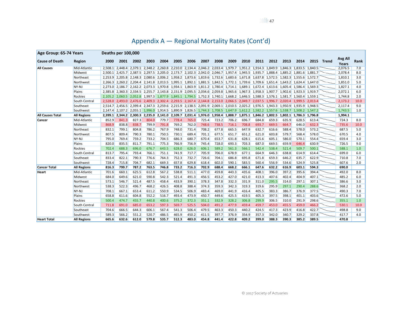| Age Group: 65-74 Years  |                    |       | Deaths per 100,000 |       |       |       |       |                                                                                                                                                 |       |       |       |       |       |       |       |       |       |            |                  |      |
|-------------------------|--------------------|-------|--------------------|-------|-------|-------|-------|-------------------------------------------------------------------------------------------------------------------------------------------------|-------|-------|-------|-------|-------|-------|-------|-------|-------|------------|------------------|------|
| <b>Cause of Death</b>   | Region             | 2000  | 2001               | 2002  | 2003  | 2004  | 2005  | 2006                                                                                                                                            | 2007  | 2008  | 2009  | 2010  | 2011  | 2012  | 2013  | 2014  |       | 2015 Trend | Avg All<br>Years | Rank |
| <b>All Causes</b>       | Mid-Atlantic       |       |                    |       |       |       |       | 2,508.1 2,448.4 2,379.1 2,348.2 2,260.8 2,210.0 2,134.4 2,046.2 2,033.4 1,979.7 1,951.2 1,914.3 1,849.9 1,846.3 1,833.5 1,840.5                 |       |       |       |       |       |       |       |       |       |            | 2,076.5          | 7.0  |
|                         | Midwest            |       |                    |       |       |       |       | 2,500.1 2,425.7 2,387.5 2,297.5 2,205.0 2,173.7 2,102.3 2,042.0 2,046.7 1,957.4 1,945.5 1,935.7 1,888.4 1,885.2 1,881.6 1,881.7                 |       |       |       |       |       |       |       |       |       |            | 2,078.4          | 8.0  |
|                         | Northeast          |       |                    |       |       |       |       | 2,253.9 2,205.8 2,148.3 2,080.6 2,006.2 1,958.2 1,873.6 1,819.6 1,732.6 1,683.6 1,671.8 1,637.8 1,572.5 1,582.3 1,555.6 1,572.7                 |       |       |       |       |       |       |       |       |       |            | 1,810.1          | 3.0  |
|                         | Northwest          |       |                    |       |       |       |       | 2,266.3 2,260.2 2,204.4 2,141.8 2,013.5 1,995.1 1,892.1 1,881.5 1,842.5 1,772.1 1,739.6 1,709.6 1,651.4 1,643.2 1,624.4 1,647.0                 |       |       |       |       |       |       |       |       |       |            | 1,851.0          | 5.0  |
|                         | NY-NJ              |       |                    |       |       |       |       | 2,273.0 2,186.7 2,162.2 2,073.3 1,970.8 1,934.1 1,863.9 1,811.2 1,780.4 1,714.1 1,689.1 1,672.4 1,613.6 1,605.4 1,586.4 1,569.3                 |       |       |       |       |       |       |       |       |       |            | 1,827.1          | 4.0  |
|                         | Plains             |       |                    |       |       |       |       | 2,385.8 2,360.3 2,334.5 2,255.7 2,143.8 2,151.9 2,095.5 2,034.6 2,059.8 1,965.6 1,967.3 1,958.3 1,907.7 1,902.6 1,923.3 1,919.7                 |       |       |       |       |       |       |       |       |       |            | 2,072.1          | 6.0  |
|                         | Rockies            |       |                    |       |       |       |       | 2, 105.2 2, 060.5 2, 052.8 1, 997.3 1, 877.9 1, 845.1 1, 794.5 1, 752.3 1, 740.1 1, 668.2 1, 646.5 1, 588.3 1, 576.1 1, 581.7 1, 560.4 1, 559.1 |       |       |       |       |       |       |       |       |       |            | 1,744.8          | 2.0  |
|                         | South Central      |       |                    |       |       |       |       | 2,528.0 2,493.0 2,476.6 2,409.3 2,302.4 2,293.5 2,167.4 2,144.8 2,153.0 2,066.5 2,049.7 2,037.5 1,996.7 2,020.4 1,999.5 2,013.4                 |       |       |       |       |       |       |       |       |       |            | 2,173.2          | 10.0 |
|                         | Southeast          |       |                    |       |       |       |       | 2,514.7 2,456.5 2,399.4 2,347.3 2,259.6 2,215.9 2,138.5 2,091.9 2,069.1 2,010.5 2,025.2 1,976.5 1,943.3 1,950.9 1,935.9 1,948.5                 |       |       |       |       |       |       |       |       |       |            | 2,117.4          | 9.0  |
|                         | Southwest          |       |                    |       |       |       |       | 2,147.4 2,107.2 2,055.1 1,996.0 1,914.5 1,890.9 1,826.5 1,744.3 1,708.5 1,647.9 1,612.2 1,582.2 1,557.6 1,538.7 1,508.2 1,547.2                 |       |       |       |       |       |       |       |       |       |            | 1,743.5          | 1.0  |
| <b>All Causes Total</b> | <b>All Regions</b> |       |                    |       |       |       |       | 2,399.1 2,344.2 2,300.3 2,235.0 2,141.0 2,109.7 2,031.4 1,976.0 1,958.4 1,888.7 1,875.1 1,846.2 1,802.5 1,802.1 1,786.3 1,796.8                 |       |       |       |       |       |       |       |       |       |            | 1,994.1          |      |
| <b>Cancer</b>           | Mid-Atlantic       | 852.9 | 841.3              | 827.3 | 804.0 | 779.7 | 778.4 | 765.0                                                                                                                                           | 725.4 | 723.2 | 706.2 | 696.7 | 684.8 | 659.3 | 635.9 | 628.5 | 613.4 |            | 724.3            | 8.0  |
|                         | Midwest            | 868.9 | 838.8              | 838.7 | 799.9 | 791.8 | 769.2 | 762.0                                                                                                                                           | 748.6 | 738.5 | 716.1 | 708.8 | 693.7 | 669.5 | 664.7 | 646.0 | 632.3 |            | 735.6            | 10.0 |
|                         | Northeast          | 832.1 | 799.1              | 804.8 | 786.2 | 767.9 | 748.0 | 731.4                                                                                                                                           | 708.2 | 677.8 | 665.5 | 647.9 | 632.7 | 616.6 | 588.4 | 578.0 | 573.2 |            | 687.5            | 5.0  |
|                         | Northwest          | 807.5 | 809.4              | 790.3 | 780.1 | 750.5 | 730.1 | 689.4                                                                                                                                           | 701.1 | 677.5 | 651.7 | 651.2 | 621.0 | 603.8 | 579.7 | 568.4 | 578.0 |            | 670.5            | 4.0  |
|                         | NY-NJ              | 795.0 | 769.4              | 759.2 | 733.2 | 704.5 | 686.3 | 680.7                                                                                                                                           | 670.4 | 653.7 | 631.8 | 628.1 | 615.6 | 605.1 | 586.0 | 570.1 | 554.4 |            | 659.4            | 3.0  |
|                         | Plains             | 820.0 | 835.5              | 811.7 | 791.1 | 775.3 | 766.9 | 756.9                                                                                                                                           | 745.4 | 728.0 | 693.3 | 703.3 | 687.0 | 669.5 | 659.9 | 646.4 | 630.9 |            | 726.5            | 9.0  |
|                         | Rockies            | 702.4 | 688.3              | 696.0 | 676.7 | 643.5 | 628.0 | 626.0                                                                                                                                           | 606.1 | 589.2 | 561.3 | 566.1 | 542.4 | 538.4 | 521.4 | 509.7 | 500.1 |            | 588.1            | 1.0  |
|                         | South Central      | 813.7 | 795.4              | 793.4 | 766.1 | 751.1 | 741.9 | 717.7                                                                                                                                           | 705.9 | 706.0 | 678.9 | 677.1 | 664.9 | 646.3 | 638.8 | 614.9 | 614.4 |            | 699.0            | 6.0  |
|                         | Southeast          | 833.4 | 822.1              | 790.3 | 776.6 | 764.3 | 752.3 | 732.7                                                                                                                                           | 726.6 | 704.1 | 686.8 | 695.8 | 671.8 | 659.3 | 646.2 | 635.7 | 622.9 |            | 710.8            | 7.0  |
|                         | Southwest          | 728.4 | 715.8              | 704.7 | 682.1 | 669.3 | 657.8 | 629.8                                                                                                                                           | 618.4 | 602.0 | 590.1 | 583.5 | 560.4 | 556.9 | 534.6 | 524.9 | 525.8 |            | 607.6            | 2.0  |
| <b>Cancer Total</b>     | <b>All Regions</b> | 816.3 | 799.7              | 787.2 | 763.5 | 746.8 | 733.2 | 716.3                                                                                                                                           | 702.9 | 688.4 | 668.2 | 666.1 | 647.6 | 632.2 | 616.9 | 603.1 | 594.3 |            | 690.0            |      |
| Heart                   | Mid-Atlantic       | 701.6 | 660.1              | 625.5 | 612.8 | 567.2 | 538.8 | 511.1                                                                                                                                           | 477.0 | 459.8 | 443.3 | 435.6 | 408.1 | 396.0 | 397.2 | 395.6 | 394.4 |            | 492.0            | 8.0  |
|                         | Midwest            | 684.0 | 649.6              | 621.0 | 590.8 | 542.3 | 521.4 | 491.3                                                                                                                                           | 456.5 | 453.2 | 427.0 | 421.0 | 413.3 | 407.6 | 402.4 | 404.9 | 407.1 |            | 485.2            | 6.0  |
|                         | Northeast          | 573.1 | 546.7              | 521.4 | 487.5 | 458.4 | 433.9 | 390.1                                                                                                                                           | 378.3 | 347.8 | 332.3 | 331.9 | 311.0 | 295.5 | 314.0 | 297.1 | 307.1 |            | 386.6            | 3.0  |
|                         | Northwest          | 538.3 | 522.3              | 496.7 | 468.2 | 426.5 | 408.8 | 388.4                                                                                                                                           | 374.3 | 359.3 | 342.3 | 319.3 | 319.6 | 295.9 | 297.1 | 290.4 | 288.6 |            | 368.2            | 2.0  |
|                         | NY-NJ              | 708.1 | 667.1              | 653.4 | 611.2 | 550.9 | 534.5 | 506.9                                                                                                                                           | 483.4 | 469.0 | 441.9 | 416.4 | 405.5 | 383.3 | 386.7 | 376.9 | 377.5 |            | 490.3            | 7.0  |
|                         | Plains             | 658.8 | 611.6              | 604.8 | 552.2 | 516.7 | 493.4 | 473.9                                                                                                                                           | 450.7 | 449.6 | 425.5 | 419.5 | 405.3 | 397.5 | 398.1 | 401.1 | 403.6 |            | 472.6            | 5.0  |
|                         | Rockies            | 500.4 | 474.7              | 455.7 | 440.8 | 400.6 | 375.2 | 372.3                                                                                                                                           | 351.1 | 332.9 | 328.2 | 306.8 | 299.9 | 306.5 | 310.0 | 291.9 | 298.6 |            | 355.1            | 1.0  |
|                         | South Central      | 711.8 | 691.0              | 685.0 | 653.2 | 597.3 | 569.7 | 525.5                                                                                                                                           | 504.0 | 491.2 | 477.9 | 459.4 | 459.7 | 453.0 | 455.5 | 459.0 | 466.2 |            | 530.1            | 10.0 |
|                         | Southeast          | 704.6 | 666.5              | 644.3 | 606.1 | 567.4 | 541.3 | 506.4                                                                                                                                           | 479.5 | 463.3 | 450.3 | 440.2 | 424.5 | 417.3 | 423.9 | 416.8 | 422.7 |            | 498.8            | 9.0  |
|                         | Southwest          | 589.3 | 566.2              | 551.2 | 520.7 | 486.5 | 465.9 | 450.2                                                                                                                                           | 411.5 | 397.7 | 376.9 | 354.9 | 357.3 | 342.0 | 340.7 | 329.2 | 337.8 |            | 417.7            | 4.0  |
| <b>Heart Total</b>      | <b>All Regions</b> | 665.6 | 632.6              | 612.0 | 579.8 | 535.7 | 512.3 | 483.0                                                                                                                                           | 454.8 | 441.4 | 422.8 | 409.2 | 399.0 | 388.3 | 390.3 | 385.2 | 389.5 |            | 470.8            |      |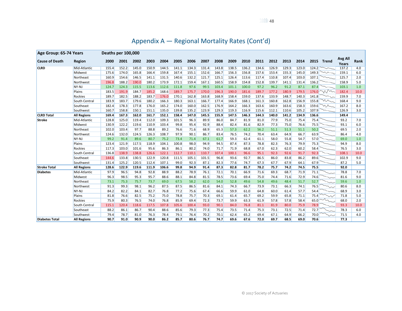| Appendix A - Regional Mortality Rates (Cont'd) |  |  |
|------------------------------------------------|--|--|
|                                                |  |  |

| Age Group: 65-74 Years |                    | Deaths per 100,000 |       |       |       |       |       |       |       |       |       |       |       |       |       |       |       |              |                         |      |
|------------------------|--------------------|--------------------|-------|-------|-------|-------|-------|-------|-------|-------|-------|-------|-------|-------|-------|-------|-------|--------------|-------------------------|------|
| <b>Cause of Death</b>  | Region             | 2000               | 2001  | 2002  | 2003  | 2004  | 2005  | 2006  | 2007  | 2008  | 2009  | 2010  | 2011  | 2012  | 2013  | 2014  | 2015  | Trend        | <b>Avg All</b><br>Years | Rank |
| <b>CLRD</b>            | Mid-Atlantic       | 155.4              | 152.2 | 145.0 | 150.9 | 144.5 | 141.1 | 134.3 | 131.4 | 143.8 | 138.5 | 136.2 | 134.6 | 126.9 | 129.3 | 123.0 | 124.2 |              | 137.2                   | 4.0  |
|                        | Midwest            | 175.6              | 174.0 | 165.8 | 166.4 | 159.8 | 167.4 | 155.1 | 152.6 | 166.7 | 156.3 | 156.8 | 157.6 | 153.4 | 155.3 | 145.0 | 149.3 | $\sim$       | 159.1                   | 6.0  |
|                        | Northeast          | 160.9              | 154.6 | 146.5 | 141.1 | 131.5 | 140.6 | 132.2 | 121.7 | 125.1 | 126.4 | 113.6 | 117.4 | 110.8 | 107.4 | 103.0 | 107.1 |              | 125.7                   | 2.0  |
|                        | Northwest          | 196.8              | 188.2 | 190.0 | 180.2 | 173.9 | 172.1 | 159.4 | 167.1 | 160.5 | 158.9 | 154.8 | 152.8 | 139.7 | 141.1 | 131.4 | 136.2 |              | 158.9                   | 5.0  |
|                        | NY-NJ              | 124.7              | 124.3 | 115.5 | 113.6 | 112.6 | 111.8 | 97.6  | 99.5  | 103.4 | 101.1 | 100.0 | 97.2  | 96.2  | 91.2  | 87.1  | 87.4  |              | 103.1                   | 1.0  |
|                        | Plains             | 183.5              | 191.9 | 184.7 | 185.2 | 168.6 | 189.7 | 175.7 | 170.0 | 196.3 | 190.0 | 181.6 | 189.7 | 177.2 | 180.9 | 179.5 |       | 176.0 $\sim$ | 182.4                   | 10.0 |
|                        | <b>Rockies</b>     | 189.7              | 182.5 | 188.2 | 183.7 | 176.0 | 170.1 | 162.8 | 163.8 | 168.9 | 158.4 | 159.0 | 137.6 | 133.9 | 148.7 | 140.3 | 141.8 |              | 159.9                   | 7.0  |
|                        | South Central      | 183.9              | 183.7 | 179.6 | 180.2 | 166.3 | 180.3 | 163.1 | 166.7 | 177.4 | 166.9 | 168.1 | 161.3 | 160.8 | 162.8 | 156.9 | 155.8 | $\sim$       | 168.4                   | 9.0  |
|                        | Southeast          | 182.4              | 178.3 | 177.8 | 176.0 | 165.2 | 174.0 | 160.0 | 162.5 | 176.9 | 164.2 | 166.3 | 163.6 | 160.9 | 163.6 | 158.3 | 159.6 | mm           | 167.2                   | 8.0  |
|                        | Southwest          | 160.7              | 158.8 | 150.1 | 151.1 | 135.0 | 139.8 | 135.2 | 123.9 | 129.3 | 119.3 | 116.9 | 115.6 | 112.1 | 110.6 | 105.2 | 107.9 |              | 126.9                   | 3.0  |
| <b>CLRD Total</b>      | <b>All Regions</b> | 169.4              | 167.3 | 162.0 | 161.7 | 152.1 | 158.4 | 147.0 | 145.5 | 155.9 | 147.5 | 146.3 | 144.3 | 140.0 | 141.2 | 134.9 | 136.6 |              | 149.4                   |      |
| <b>Stroke</b>          | Mid-Atlantic       | 128.8              | 125.0 | 119.4 | 112.0 | 109.3 | 101.5 | 96.3  | 89.9  | 86.0  | 84.7  | 81.9  | 81.0  | 77.9  | 75.0  | 75.4  | 75.4  |              | 93.2                    | 7.0  |
|                        | Midwest            | 130.9              | 122.2 | 119.6 | 110.9 | 103.4 | 99.8  | 95.4  | 92.9  | 88.4  | 82.4  | 81.6  | 82.9  | 77.3  | 75.0  | 76.6  | 75.5  |              | 93.1                    | 6.0  |
|                        | Northeast          | 102.0              | 103.4 | 97.7  | 88.8  | 89.2  | 76.6  | 71.6  | 68.9  | 65.3  | 57.3  | 62.2  | 56.2  | 51.1  | 51.3  | 51.1  | 50.2  |              | 69.5                    | 2.0  |
|                        | Northwest          | 124.6              | 132.0 | 124.5 | 126.3 | 108.7 | 97.9  | 90.1  | 86.7  | 83.4  | 76.5  | 74.2  | 70.4  | 63.4  | 64.9  | 66.7  | 63.9  |              | 86.4                    | 4.0  |
|                        | NY-NJ              | 99.2               | 91.4  | 89.6  | 80.7  | 75.2  | 73.4  | 71.4  | 67.1  | 61.7  | 59.3  | 62.4  | 61.1  | 58.0  | 55.8  | 54.7  | 57.0  |              | 69.0                    | 1.0  |
|                        | Plains             | 123.4              | 121.9 | 117.5 | 118.9 | 104.1 | 100.8 | 98.0  | 94.9  | 94.5  | 87.4  | 87.3  | 78.8  | 82.3  | 76.3  | 79.9  | 75.3  |              | 94.9                    | 8.0  |
|                        | <b>Rockies</b>     | 117.3              | 103.0 | 101.6 | 95.6  | 86.3  | 86.1  | 80.2  | 74.0  | 71.7  | 71.9  | 68.8  | 67.0  | 62.3  | 62.0  | 60.2  | 58.4  |              | 76.5                    | 3.0  |
|                        | South Central      | 136.8              | 138.9 | 138.8 | 126.6 | 122.1 | 112.7 | 110.1 | 110.7 | 107.4 | 100.1 | 96.6  | 95.1  | 92.3  | 92.6  | 91.7  | 92.3  |              | 108.1                   | 10.0 |
|                        | Southeast          | 144.6              | 133.8 | 130.5 | 122.9 | 120.8 | 111.5 | 105.1 | 101.5 | 96.8  | 93.6  | 92.7  | 86.5  | 86.0  | 83.8  | 86.2  | 89.6  |              | 102.9                   | 9.0  |
|                        | Southwest          | 131.4              | 125.2 | 120.5 | 112.4 | 107.1 | 99.0  | 92.3  | 87.1  | 82.3  | 77.6  | 74.7  | 67.3  | 67.7  | 67.9  | 64.1  | 67.9  |              | 87.2                    | 5.0  |
| <b>Stroke Total</b>    | <b>All Regions</b> | 128.6              | 122.9 | 119.6 | 111.9 | 106.6 | 99.8  | 94.9  | 91.4  | 87.3  | 82.8  | 81.7  | 78.2  | 75.7  | 74.2  | 74.5  | 75.5  |              | 92.0                    |      |
| <b>Diabetes</b>        | Mid-Atlantic       | 97.9               | 96.5  | 94.8  | 92.8  | 88.9  | 88.2  | 78.9  | 76.1  | 72.1  | 70.1  | 66.9  | 71.6  | 69.3  | 68.7  | 71.9  | 71.1  |              | 78.8                    | 7.0  |
|                        | Midwest            | 96.3               | 98.5  | 95.3  | 95.7  | 88.6  | 88.1  | 84.8  | 81.5  | 78.5  | 73.6  | 69.4  | 75.0  | 74.4  | 71.6  | 72.9  | 74.6  |              | 81.6                    | 9.0  |
|                        | Northeast          | 73.1               | 75.3  | 75.7  | 73.7  | 69.0  | 67.5  | 58.2  | 62.0  | 54.0  | 52.8  | 49.6  | 54.8  | 49.6  | 48.4  | 51.7  | 52.7  |              | 59.6                    | 1.0  |
|                        | Northwest          | 91.3               | 99.3  | 98.1  | 96.2  | 87.5  | 87.5  | 86.5  | 81.6  | 84.1  | 74.3  | 66.7  | 73.9  | 73.1  | 66.3  | 74.1  | 76.5  |              | 80.6                    | 8.0  |
|                        | NY-NJ              | 84.2               | 82.2  | 84.1  | 82.7  | 76.8  | 77.2  | 75.6  | 67.4  | 66.6  | 59.9  | 61.0  | 64.8  | 60.0  | 61.4  | 57.7  | 54.4  |              | 68.9                    | 3.0  |
|                        | Plains             | 81.8               | 76.6  | 82.5  | 75.2  | 75.0  | 78.8  | 75.7  | 70.3  | 69.1  | 61.4  | 65.7  | 69.2  | 59.9  | 65.8  | 71.1  | 75.4  | $\sim$       | 71.8                    | 5.0  |
|                        | <b>Rockies</b>     | 75.9               | 80.3  | 76.5  | 74.0  | 76.8  | 85.9  | 69.4  | 72.3  | 73.7  | 59.9  | 63.3  | 61.9  | 57.8  | 57.8  | 58.4  | 65.0  |              | 68.0                    | 2.0  |
|                        | South Central      | 115.1              | 120.4 | 118.6 | 117.5 | 107.8 | 105.6 | 100.4 | 93.0  | 90.1  | 84.0  | 76.8  | 81.1  | 81.9  | 80.0  | 75.9  | 78.9  |              | 93.3                    | 10.0 |
|                        | Southeast          | 88.2               | 86.1  | 86.7  | 90.4  | 88.6  | 85.6  | 79.3  | 77.3  | 75.4  | 73.5  | 71.4  | 75.3  | 73.1  | 72.5  | 71.4  | 72.7  |              | 78.3                    | 6.0  |
|                        | Southwest          | 79.4               | 78.7  | 81.0  | 76.3  | 78.4  | 79.1  | 76.4  | 70.2  | 70.1  | 62.4  | 65.2  | 69.4  | 67.1  | 64.9  | 66.2  | 70.0  |              | 71.5                    | 4.0  |
| <b>Diabetes Total</b>  | <b>All Regions</b> | 90.7               | 91.0  | 90.9  | 90.0  | 86.2  | 85.7  | 80.6  | 76.7  | 74.7  | 69.6  | 67.6  | 72.0  | 69.7  | 68.5  | 69.0  | 70.6  |              | 77.3                    |      |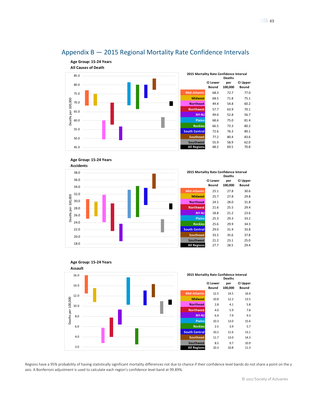<span id="page-48-0"></span>





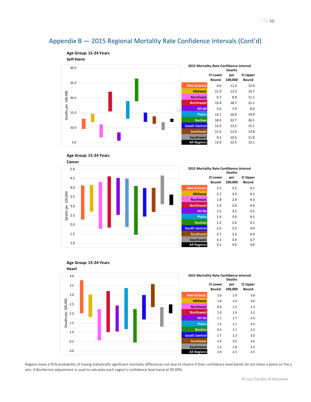







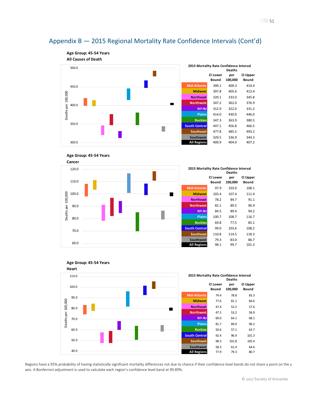









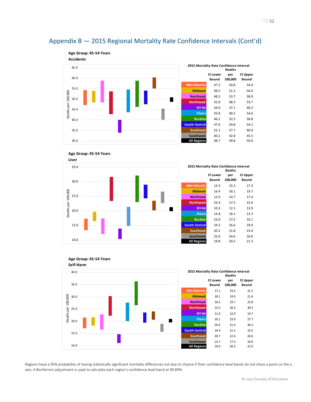







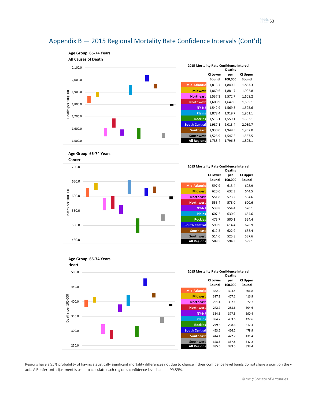**Age Group: 65-74 Years All Causes of Death 2015 Mortality Rate Confidence Interval** 2,100.0 **Deaths CI Lower per CI Upper Bound 100,000 Bound** 2,000.0 **Mid-Atlantic** 1,813.7 1,840.5 1,867.3 **Midwest** 1,860.6 1,881.7 1,902.8 Deaths per 100,000 1,900.0 **Northeast** 1,537.3 1,572.7 1,608.2 **Northwest** 1,608.9 1,647.0 1,685.1 1,800.0 **NY-NJ** 1,542.9 1,569.3 1,595.6 **Plains** 1,878.4 1,919.7 1,961.1 1,700.0 **Rockies** 1,516.1 1,559.1 1,602.1 **South Central** 1,987.1 2,013.4 2,039.7 1,600.0 **Southeast** 1,930.0 1,948.5 1,967.0 Г **Southwest** 1,526.9 1,547.2 1,567.5 1,500.0 **All Regions** 1,788.4 1,796.8 1,805.1





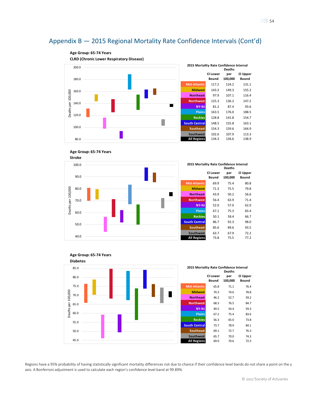





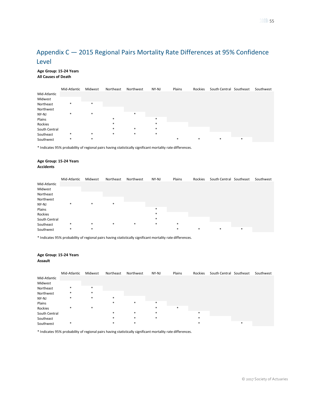#### <span id="page-54-0"></span>**Age Group: 15-24 Years All Causes of Death**

|               | Mid-Atlantic | Midwest | Northeast | Northwest | NY-NJ  | Plains | Rockies | South Central Southeast |   | Southwest |
|---------------|--------------|---------|-----------|-----------|--------|--------|---------|-------------------------|---|-----------|
| Mid-Atlantic  |              |         |           |           |        |        |         |                         |   |           |
| Midwest       |              |         |           |           |        |        |         |                         |   |           |
| Northeast     | $\ast$       | $\ast$  |           |           |        |        |         |                         |   |           |
| Northwest     |              |         |           |           |        |        |         |                         |   |           |
| NY-NJ         | $\ast$       | *       |           | $\ast$    |        |        |         |                         |   |           |
| Plains        |              |         | $\ast$    |           | $\ast$ |        |         |                         |   |           |
| Rockies       |              |         | $\ast$    |           | $\ast$ |        |         |                         |   |           |
| South Central |              |         | $\ast$    | $\ast$    | $\ast$ |        |         |                         |   |           |
| Southeast     | $\ast$       | $\ast$  | $\ast$    | $*$       | $\ast$ |        |         |                         |   |           |
| Southwest     | $\ast$       | $\ast$  |           |           |        | $\ast$ | $\ast$  | $\ast$                  | * |           |

\* Indicates 95% probability of regional pairs having statistically significant mortality rate differences.

#### **Age Group: 15-24 Years Accidents**

|               | Mid-Atlantic | Midwest | Northeast | Northwest | NY-NJ  | Plains | Rockies | South Central Southeast |        | Southwest |
|---------------|--------------|---------|-----------|-----------|--------|--------|---------|-------------------------|--------|-----------|
| Mid-Atlantic  |              |         |           |           |        |        |         |                         |        |           |
| Midwest       |              |         |           |           |        |        |         |                         |        |           |
| Northeast     |              |         |           |           |        |        |         |                         |        |           |
| Northwest     |              |         |           |           |        |        |         |                         |        |           |
| NY-NJ         | $\ast$       | *       | $\ast$    |           |        |        |         |                         |        |           |
| Plains        |              |         |           |           | $\ast$ |        |         |                         |        |           |
| Rockies       |              |         |           |           | $\ast$ |        |         |                         |        |           |
| South Central |              |         |           |           | $\ast$ |        |         |                         |        |           |
| Southeast     | $\ast$       | *       | $\ast$    | $\ast$    | $\ast$ | $\ast$ |         |                         |        |           |
| Southwest     | $\ast$       | *       |           |           |        | $\ast$ | $\ast$  | $\ast$                  | $\ast$ |           |

\* Indicates 95% probability of regional pairs having statistically significant mortality rate differences.

## **Age Group: 15-24 Years**

#### **Assault**

|               | Mid-Atlantic | Midwest | Northeast | Northwest | NY-NJ  | Plains | Rockies | South Central Southeast |   | Southwest |
|---------------|--------------|---------|-----------|-----------|--------|--------|---------|-------------------------|---|-----------|
| Mid-Atlantic  |              |         |           |           |        |        |         |                         |   |           |
| Midwest       |              |         |           |           |        |        |         |                         |   |           |
| Northeast     | $\ast$       | $*$     |           |           |        |        |         |                         |   |           |
| Northwest     | $\ast$       | $\ast$  |           |           |        |        |         |                         |   |           |
| NY-NJ         | $\ast$       | $\ast$  | $\ast$    |           |        |        |         |                         |   |           |
| Plains        |              |         | $\ast$    | $*$       | $\ast$ |        |         |                         |   |           |
| Rockies       | $\ast$       | *       |           |           | $\ast$ | $\ast$ |         |                         |   |           |
| South Central |              |         | $\ast$    | $\ast$    | $\ast$ |        | $\ast$  |                         |   |           |
| Southeast     |              |         | $\ast$    | $\ast$    | $\ast$ |        | $\ast$  |                         |   |           |
| Southwest     | $\ast$       |         | $\ast$    | $\ast$    |        |        | $\ast$  |                         | * |           |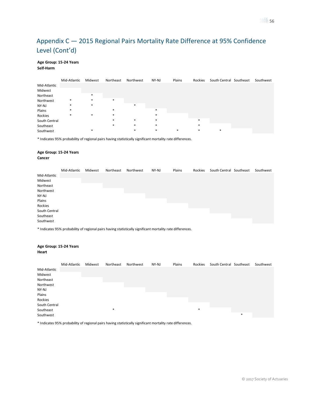#### **Age Group: 15-24 Years Self-Harm**

|               | Mid-Atlantic | Midwest | Northeast | Northwest | NY-NJ  | Plains | Rockies | South Central Southeast | Southwest |
|---------------|--------------|---------|-----------|-----------|--------|--------|---------|-------------------------|-----------|
| Mid-Atlantic  |              |         |           |           |        |        |         |                         |           |
| Midwest       |              |         |           |           |        |        |         |                         |           |
| Northeast     |              | $\ast$  |           |           |        |        |         |                         |           |
| Northwest     | $\ast$       | $\ast$  | $\ast$    |           |        |        |         |                         |           |
| NY-NJ         | $\ast$       | *       |           | $\ast$    |        |        |         |                         |           |
| Plains        | $\ast$       |         | ∗         |           | $\ast$ |        |         |                         |           |
| Rockies       | $\ast$       | *       | $\ast$    |           | $\ast$ |        |         |                         |           |
| South Central |              |         | $\ast$    | $\ast$    | $\ast$ |        | $\ast$  |                         |           |
| Southeast     |              |         | $\ast$    | $\ast$    | $\ast$ |        | *       |                         |           |
| Southwest     |              |         |           | *         | $\ast$ | $\ast$ | $\ast$  | *                       |           |

\* Indicates 95% probability of regional pairs having statistically significant mortality rate differences.

#### **Age Group: 15-24 Years Cancer**

|               | Mid-Atlantic | Midwest | Northeast | Northwest | NY-NJ | Plains | Rockies | South Central Southeast | Southwest |
|---------------|--------------|---------|-----------|-----------|-------|--------|---------|-------------------------|-----------|
| Mid-Atlantic  |              |         |           |           |       |        |         |                         |           |
| Midwest       |              |         |           |           |       |        |         |                         |           |
| Northeast     |              |         |           |           |       |        |         |                         |           |
| Northwest     |              |         |           |           |       |        |         |                         |           |
| NY-NJ         |              |         |           |           |       |        |         |                         |           |
| Plains        |              |         |           |           |       |        |         |                         |           |
| Rockies       |              |         |           |           |       |        |         |                         |           |
| South Central |              |         |           |           |       |        |         |                         |           |
| Southeast     |              |         |           |           |       |        |         |                         |           |
| Southwest     |              |         |           |           |       |        |         |                         |           |

\* Indicates 95% probability of regional pairs having statistically significant mortality rate differences.

#### **Age Group: 15-24 Years Heart** Mid-Atlantic Midwest Northeast Northwest NY-NJ Plains Rockies South Central Southeast Southwest Mid-Atlantic Midwest Northeast Northwest NY-NJ Plains Rockies South Central Southeast \* \* Southwest \*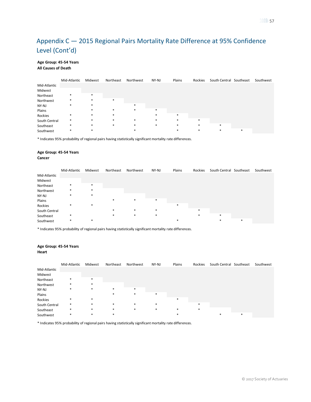#### **Age Group: 45-54 Years All Causes of Death**

|               | Mid-Atlantic | Midwest | Northeast | Northwest | NY-NJ  | Plains | Rockies | South Central Southeast |        | Southwest |
|---------------|--------------|---------|-----------|-----------|--------|--------|---------|-------------------------|--------|-----------|
| Mid-Atlantic  |              |         |           |           |        |        |         |                         |        |           |
| Midwest       |              |         |           |           |        |        |         |                         |        |           |
| Northeast     | $\ast$       | $\ast$  |           |           |        |        |         |                         |        |           |
| Northwest     | $\ast$       | $\ast$  | $\ast$    |           |        |        |         |                         |        |           |
| NY-NJ         | $\ast$       | $\ast$  |           | $*$       |        |        |         |                         |        |           |
| Plains        |              | $\ast$  | $\ast$    | $\ast$    | $\ast$ |        |         |                         |        |           |
| Rockies       | $\ast$       | *       | *         |           |        | $\ast$ |         |                         |        |           |
| South Central | $\ast$       | $\ast$  | *         | $\ast$    | $\ast$ | $\ast$ | $\ast$  |                         |        |           |
| Southeast     | $\ast$       | $*$     | $\ast$    | $\ast$    | $\ast$ | $\ast$ | $\ast$  | $\ast$                  |        |           |
| Southwest     | $\ast$       | $\ast$  |           | $\ast$    |        | $\ast$ | $\ast$  | $\ast$                  | $\ast$ |           |

\* Indicates 95% probability of regional pairs having statistically significant mortality rate differences.

#### **Age Group: 45-54 Years Cancer**

|               | Mid-Atlantic | Midwest | Northeast | Northwest | NY-NJ  | Plains | Rockies | South Central Southeast |        | Southwest |
|---------------|--------------|---------|-----------|-----------|--------|--------|---------|-------------------------|--------|-----------|
| Mid-Atlantic  |              |         |           |           |        |        |         |                         |        |           |
| Midwest       |              |         |           |           |        |        |         |                         |        |           |
| Northeast     | $\ast$       | $\ast$  |           |           |        |        |         |                         |        |           |
| Northwest     | $\ast$       | $\ast$  |           |           |        |        |         |                         |        |           |
| NY-NJ         | $\ast$       | $\ast$  |           |           |        |        |         |                         |        |           |
| Plains        |              |         | *         | $\ast$    | $\ast$ |        |         |                         |        |           |
| Rockies       | $\ast$       | $\ast$  |           |           |        | $\ast$ |         |                         |        |           |
| South Central |              |         | *         | $\ast$    | $\ast$ |        | $\ast$  |                         |        |           |
| Southeast     | $\ast$       |         | $\ast$    | $\ast$    | *      |        | $\ast$  | $\ast$                  |        |           |
| Southwest     | $\ast$       | $\ast$  |           |           |        | $\ast$ |         | ∗                       | $\ast$ |           |

\* Indicates 95% probability of regional pairs having statistically significant mortality rate differences.

### **Age Group: 45-54 Years**

**Heart**

|               | Mid-Atlantic | Midwest | Northeast | Northwest | NY-NJ  | Plains | Rockies | South Central Southeast |   | Southwest |
|---------------|--------------|---------|-----------|-----------|--------|--------|---------|-------------------------|---|-----------|
| Mid-Atlantic  |              |         |           |           |        |        |         |                         |   |           |
| Midwest       |              |         |           |           |        |        |         |                         |   |           |
| Northeast     | $\ast$       | $\ast$  |           |           |        |        |         |                         |   |           |
| Northwest     | *            | $\ast$  |           |           |        |        |         |                         |   |           |
| NY-NJ         | *            | *       | $\ast$    | $*$       |        |        |         |                         |   |           |
| Plains        |              |         | $\ast$    | *         | $\ast$ |        |         |                         |   |           |
| Rockies       | $\ast$       | $\ast$  |           |           |        | $\ast$ |         |                         |   |           |
| South Central | $\ast$       | $\ast$  | $\ast$    | $*$       | $\ast$ |        | $\ast$  |                         |   |           |
| Southeast     | $\ast$       | $\ast$  | $\ast$    | $\ast$    | $\ast$ | *      | *       |                         |   |           |
| Southwest     | *            | *       | $\ast$    |           |        | *      |         | *                       | * |           |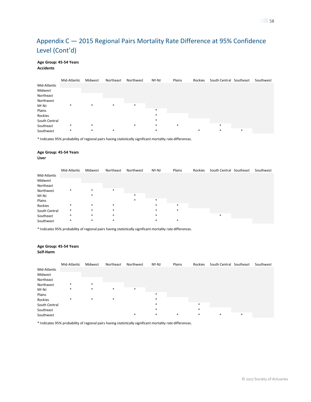### **Age Group: 45-54 Years**

#### **Accidents**

|               | Mid-Atlantic | Midwest | Northeast | Northwest | NY-NJ  | Plains | Rockies | South Central Southeast |   | Southwest |
|---------------|--------------|---------|-----------|-----------|--------|--------|---------|-------------------------|---|-----------|
| Mid-Atlantic  |              |         |           |           |        |        |         |                         |   |           |
| Midwest       |              |         |           |           |        |        |         |                         |   |           |
| Northeast     |              |         |           |           |        |        |         |                         |   |           |
| Northwest     |              |         |           |           |        |        |         |                         |   |           |
| NY-NJ         | $\ast$       | $\ast$  | $\ast$    | $*$       |        |        |         |                         |   |           |
| Plains        |              |         |           |           | $\ast$ |        |         |                         |   |           |
| Rockies       |              |         |           |           | *      |        |         |                         |   |           |
| South Central |              |         |           |           | $\ast$ |        |         |                         |   |           |
| Southeast     | $\ast$       | $\ast$  |           | $*$       | $\ast$ | $\ast$ |         | $\ast$                  |   |           |
| Southwest     | $\ast$       | $\ast$  | $\ast$    |           | *      |        | $\ast$  | $\ast$                  | * |           |

\* Indicates 95% probability of regional pairs having statistically significant mortality rate differences.

#### **Age Group: 45-54 Years Liver**

|               | Mid-Atlantic | Midwest | Northeast | Northwest | NY-NJ  | Plains | Rockies | South Central Southeast | Southwest |
|---------------|--------------|---------|-----------|-----------|--------|--------|---------|-------------------------|-----------|
| Mid-Atlantic  |              |         |           |           |        |        |         |                         |           |
| Midwest       |              |         |           |           |        |        |         |                         |           |
| Northeast     |              |         |           |           |        |        |         |                         |           |
| Northwest     | $\ast$       | $\ast$  | $\ast$    |           |        |        |         |                         |           |
| NY-NJ         |              | *       |           | $*$       |        |        |         |                         |           |
| Plains        |              |         |           | $\ast$    | $\ast$ |        |         |                         |           |
| Rockies       | *            | $\ast$  | *         |           | $\ast$ | $\ast$ |         |                         |           |
| South Central | $\ast$       | $\ast$  | *         |           | $\ast$ | $\ast$ |         |                         |           |
| Southeast     | *            | $\ast$  | $\ast$    |           | $\ast$ |        |         | $\ast$                  |           |
| Southwest     | *            | *       | *         |           | $\ast$ | $\ast$ |         |                         |           |

\* Indicates 95% probability of regional pairs having statistically significant mortality rate differences.

## **Age Group: 45-54 Years**

|  | Self-Harm |  |
|--|-----------|--|
|--|-----------|--|

|               | Mid-Atlantic | Midwest | Northeast | Northwest | NY-NJ  | Plains | Rockies | South Central Southeast |   | Southwest |
|---------------|--------------|---------|-----------|-----------|--------|--------|---------|-------------------------|---|-----------|
| Mid-Atlantic  |              |         |           |           |        |        |         |                         |   |           |
| Midwest       |              |         |           |           |        |        |         |                         |   |           |
| Northeast     |              |         |           |           |        |        |         |                         |   |           |
| Northwest     | $\ast$       | $\ast$  |           |           |        |        |         |                         |   |           |
| NY-NJ         | $\ast$       | $\ast$  | $\ast$    | $*$       |        |        |         |                         |   |           |
| Plains        |              |         |           |           | $\ast$ |        |         |                         |   |           |
| Rockies       | $\ast$       | $\ast$  | $\ast$    |           | $\ast$ |        |         |                         |   |           |
| South Central |              |         |           |           | $\ast$ |        | $\ast$  |                         |   |           |
| Southeast     |              |         |           |           | $\ast$ |        | $\ast$  |                         |   |           |
| Southwest     |              |         |           | $\ast$    | $\ast$ | $\ast$ | $\ast$  | $\ast$                  | * |           |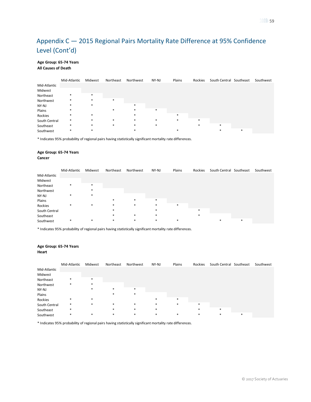#### **Age Group: 65-74 Years All Causes of Death**

|               | Mid-Atlantic | Midwest | Northeast | Northwest | NY-NJ  | Plains | Rockies | South Central Southeast |        | Southwest |
|---------------|--------------|---------|-----------|-----------|--------|--------|---------|-------------------------|--------|-----------|
| Mid-Atlantic  |              |         |           |           |        |        |         |                         |        |           |
| Midwest       |              |         |           |           |        |        |         |                         |        |           |
| Northeast     | *            | $\ast$  |           |           |        |        |         |                         |        |           |
| Northwest     | $\ast$       | *       | $\ast$    |           |        |        |         |                         |        |           |
| NY-NJ         | $\ast$       | *       |           | $\ast$    |        |        |         |                         |        |           |
| Plains        | $\ast$       |         | $\ast$    | $*$       | $\ast$ |        |         |                         |        |           |
| Rockies       | $\ast$       | $\ast$  |           | $\ast$    |        | $\ast$ |         |                         |        |           |
| South Central | $\ast$       | $\ast$  | $\ast$    | $*$       | $\ast$ | $\ast$ | $\ast$  |                         |        |           |
| Southeast     | $\ast$       | $\ast$  | $\ast$    | $*$       | $\ast$ |        |         | $\ast$                  |        |           |
| Southwest     | $\ast$       | *       |           |           |        | $\ast$ |         |                         | $\ast$ |           |

\* Indicates 95% probability of regional pairs having statistically significant mortality rate differences.

#### **Age Group: 65-74 Years Cancer**

|               | Mid-Atlantic | Midwest | Northeast | Northwest | NY-NJ  | Plains | Rockies | South Central Southeast |        | Southwest |
|---------------|--------------|---------|-----------|-----------|--------|--------|---------|-------------------------|--------|-----------|
| Mid-Atlantic  |              |         |           |           |        |        |         |                         |        |           |
| Midwest       |              |         |           |           |        |        |         |                         |        |           |
| Northeast     | $\ast$       | $\ast$  |           |           |        |        |         |                         |        |           |
| Northwest     |              | $\ast$  |           |           |        |        |         |                         |        |           |
| NY-NJ         | $\ast$       | $\ast$  |           |           |        |        |         |                         |        |           |
| Plains        |              |         | $\ast$    | $\ast$    | $\ast$ |        |         |                         |        |           |
| Rockies       | $\ast$       | $\ast$  | *         | *         | *      | $\ast$ |         |                         |        |           |
| South Central |              |         | $\ast$    |           | $\ast$ |        | $\ast$  |                         |        |           |
| Southeast     |              |         | $\ast$    | $\ast$    | $\ast$ |        | 堆       |                         |        |           |
| Southwest     | $\ast$       | $\ast$  | $\ast$    | *         | $\ast$ | $\ast$ |         | *                       | $\ast$ |           |

\* Indicates 95% probability of regional pairs having statistically significant mortality rate differences.

### **Age Group: 65-74 Years**

**Heart**

|               | Mid-Atlantic | Midwest | Northeast | Northwest | NY-NJ  | Plains | Rockies | South Central Southeast |        | Southwest |
|---------------|--------------|---------|-----------|-----------|--------|--------|---------|-------------------------|--------|-----------|
| Mid-Atlantic  |              |         |           |           |        |        |         |                         |        |           |
| Midwest       |              |         |           |           |        |        |         |                         |        |           |
| Northeast     | $\ast$       | $\ast$  |           |           |        |        |         |                         |        |           |
| Northwest     | $\ast$       | $\ast$  |           |           |        |        |         |                         |        |           |
| NY-NJ         |              | $\ast$  | $\ast$    | $\ast$    |        |        |         |                         |        |           |
| Plains        |              |         | $\ast$    | *         |        |        |         |                         |        |           |
| Rockies       | $\ast$       | $*$     |           |           | $\ast$ | $\ast$ |         |                         |        |           |
| South Central | $\ast$       | $\ast$  | $\ast$    | $*$       | $\ast$ | $\ast$ | $\ast$  |                         |        |           |
| Southeast     | $\ast$       |         | $\ast$    | $\ast$    | $\ast$ |        | $\ast$  | $\ast$                  |        |           |
| Southwest     | $\ast$       | $\ast$  | $\ast$    | $\ast$    | $\ast$ | $\ast$ | $\ast$  | $\ast$                  | $\ast$ |           |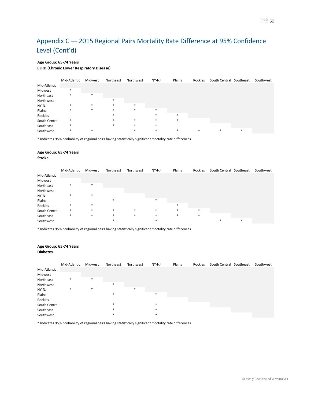#### **Age Group: 65-74 Years**

#### **CLRD (Chronic Lower Respiratory Disease)**

|               | Mid-Atlantic | Midwest | Northeast | Northwest | NY-NJ  | Plains | Rockies | South Central Southeast |   | Southwest |
|---------------|--------------|---------|-----------|-----------|--------|--------|---------|-------------------------|---|-----------|
| Mid-Atlantic  |              |         |           |           |        |        |         |                         |   |           |
| Midwest       | $\ast$       |         |           |           |        |        |         |                         |   |           |
| Northeast     | $\ast$       | $*$     |           |           |        |        |         |                         |   |           |
| Northwest     |              |         | $\ast$    |           |        |        |         |                         |   |           |
| NY-NJ         | $\ast$       | $*$     | $\ast$    | $*$       |        |        |         |                         |   |           |
| Plains        | $\ast$       | $\ast$  | $\ast$    | $\ast$    | $\ast$ |        |         |                         |   |           |
| Rockies       |              |         | $\ast$    |           | $\ast$ | $\ast$ |         |                         |   |           |
| South Central | $\ast$       |         | $\ast$    | $\ast$    | $\ast$ | $\ast$ |         |                         |   |           |
| Southeast     | $\ast$       |         | $\ast$    | $*$       | $\ast$ |        |         |                         |   |           |
| Southwest     | $\ast$       | $\ast$  |           | $\ast$    | $\ast$ | $\ast$ | $\ast$  | $\ast$                  | * |           |

\* Indicates 95% probability of regional pairs having statistically significant mortality rate differences.

#### **Age Group: 65-74 Years Stroke**

|               | Mid-Atlantic | Midwest | Northeast | Northwest | NY-NJ  | Plains | Rockies | South Central Southeast |        | Southwest |
|---------------|--------------|---------|-----------|-----------|--------|--------|---------|-------------------------|--------|-----------|
| Mid-Atlantic  |              |         |           |           |        |        |         |                         |        |           |
| Midwest       |              |         |           |           |        |        |         |                         |        |           |
| Northeast     | $\ast$       | $\ast$  |           |           |        |        |         |                         |        |           |
| Northwest     |              |         |           |           |        |        |         |                         |        |           |
| NY-NJ         | $\ast$       | $\ast$  |           |           |        |        |         |                         |        |           |
| Plains        |              |         | *         |           | $\ast$ |        |         |                         |        |           |
| Rockies       | $\ast$       | $\ast$  |           |           |        | $\ast$ |         |                         |        |           |
| South Central | $\ast$       | $\ast$  | $\ast$    | *         | $\ast$ | $\ast$ | $\ast$  |                         |        |           |
| Southeast     | $\ast$       | $\ast$  | $\ast$    | $\ast$    | $\ast$ | $\ast$ | $\ast$  |                         |        |           |
| Southwest     |              |         | *         |           | $\ast$ |        |         | *                       | $\ast$ |           |

\* Indicates 95% probability of regional pairs having statistically significant mortality rate differences.

#### **Age Group: 65-74 Years Diabetes**

|               | Mid-Atlantic | Midwest | Northeast | Northwest | NY-NJ  | Plains | Rockies | South Central Southeast | Southwest |
|---------------|--------------|---------|-----------|-----------|--------|--------|---------|-------------------------|-----------|
| Mid-Atlantic  |              |         |           |           |        |        |         |                         |           |
| Midwest       |              |         |           |           |        |        |         |                         |           |
| Northeast     | $\ast$       | $\ast$  |           |           |        |        |         |                         |           |
| Northwest     |              |         | $\ast$    |           |        |        |         |                         |           |
| NY-NJ         | $\ast$       | *       |           | $\ast$    |        |        |         |                         |           |
| Plains        |              |         | $\ast$    |           | $\ast$ |        |         |                         |           |
| Rockies       |              |         |           |           |        |        |         |                         |           |
| South Central |              |         | $\ast$    |           | $\ast$ |        |         |                         |           |
| Southeast     |              |         | $\ast$    |           | $\ast$ |        |         |                         |           |
| Southwest     |              |         | $\ast$    |           | $\ast$ |        |         |                         |           |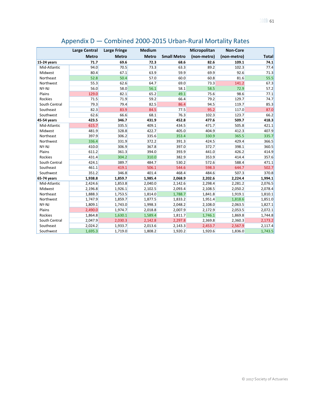<span id="page-60-0"></span>

|                | <b>Large Central</b> | <b>Large Fringe</b> | <b>Medium</b> |                    | Micropolitan | <b>Non-Core</b> |              |
|----------------|----------------------|---------------------|---------------|--------------------|--------------|-----------------|--------------|
|                | <b>Metro</b>         | <b>Metro</b>        | <b>Metro</b>  | <b>Small Metro</b> | (non-metro)  | (non-metro)     | <b>Total</b> |
| 15-24 years    | 71.7                 | 69.6                | 72.3          | 68.6               | 82.6         | 109.1           | 74.1         |
| Mid-Atlantic   | 94.0                 | 70.5                | 73.3          | 63.3               | 89.2         | 102.3           | 77.4         |
| Midwest        | 80.4                 | 67.1                | 63.9          | 59.9               | 69.9         | 92.6            | 71.3         |
| Northeast      | 52.8                 | 50.4                | 57.0          | 60.0               | 60.8         | 81.6            | 55.5         |
| Northwest      | 55.3                 | 62.6                | 64.7          | 69.0               | 73.3         | 141.2           | 67.3         |
| NY-NJ          | 56.0                 | 58.0                | 56.1          | 58.1               | 58.5         | 72.9            | 57.2         |
| Plains         | 129.0                | 82.1                | 65.2          | 49.1               | 75.6         | 98.6            | 77.1         |
| <b>Rockies</b> | 71.5                 | 71.9                | 59.2          | 66.4               | 79.2         | 129.7           | 74.7         |
| South Central  | 79.3                 | 79.4                | 82.5          | 86.4               | 94.5         | 119.7           | 85.3         |
| Southeast      | 82.3                 | 83.9                | 84.5          | 77.5               | 95.2         | 117.0           | 87.0         |
| Southwest      | 62.6                 | 66.6                | 68.1          | 76.3               | 102.3        | 123.7           | 66.2         |
| 45-54 years    | 423.5                | 346.7               | 431.9         | 452.8              | 477.6        | 509.7           | 418.3        |
| Mid-Atlantic   | 615.7                | 335.5               | 409.1         | 434.5              | 471.7        | 505.8           | 421.1        |
| Midwest        | 481.9                | 328.8               | 422.7         | 405.0              | 404.9        | 412.3           | 407.9        |
| Northeast      | 397.9                | 306.2               | 335.6         | 353.4              | 330.9        | 365.5           | 335.7        |
| Northwest      | 336.4                | 331.9               | 372.2         | 391.3              | 424.5        | 429.4           | 366.5        |
| NY-NJ          | 410.0                | 306.9               | 367.8         | 397.0              | 372.7        | 398.1           | 360.5        |
| Plains         | 611.2                | 361.3               | 394.0         | 393.9              | 441.0        | 426.2           | 414.9        |
| <b>Rockies</b> | 431.4                | 304.2               | 310.0         | 382.9              | 353.9        | 414.4           | 357.6        |
| South Central  | 424.1                | 389.7               | 484.7         | 530.2              | 572.6        | 588.4           | 471.1        |
| Southeast      | 461.1                | 419.1               | 506.1         | 544.6              | 598.3        | 644.7           | 502.7        |
| Southwest      | 351.2                | 346.8               | 401.4         | 468.4              | 484.6        | 507.3           | 370.8        |
| 65-74 years    | 1,938.8              | 1,859.7             | 1,985.4       | 2,068.9            | 2,202.6      | 2,224.4         | 1,994.1      |
| Mid-Atlantic   | 2,424.6              | 1,853.8             | 2,040.0       | 2,142.6            | 2,298.4      | 2,281.2         | 2,076.5      |
| Midwest        | 2,196.8              | 1,926.1             | 2,102.5       | 2,093.4            | 2,108.5      | 2,050.2         | 2,078.4      |
| Northeast      | 1,888.3              | 1,753.5             | 1,814.0       | 1,788.7            | 1,841.8      | 1,919.1         | 1,810.1      |
| Northwest      | 1,747.9              | 1,859.7             | 1,877.5       | 1,833.2            | 1,951.4      | 1,818.6         | 1,851.0      |
| NY-NJ          | 1,809.1              | 1,743.0             | 1,998.3       | 2,048.2            | 2,108.0      | 2,063.5         | 1,827.1      |
| Plains         | 2,490.0              | 1,974.7             | 2,018.8       | 2,007.9            | 2,172.9      | 2,053.5         | 2,072.1      |
| <b>Rockies</b> | 1,864.8              | 1,630.1             | 1,589.4       | 1,811.7            | 1,746.1      | 1,869.8         | 1,744.8      |
| South Central  | 2,047.9              | 2,030.3             | 2,142.8       | 2,297.8            | 2,369.8      | 2,360.3         | 2,173.2      |
| Southeast      | 2,024.2              | 1,933.7             | 2,013.6       | 2,143.3            | 2,453.7      | 2,567.9         | 2,117.4      |
| Southwest      | 1,695.3              | 1,719.0             | 1,808.2       | 1,920.2            | 1,920.6      | 1,836.0         | 1,743.5      |

# Appendix D — Combined 2000-2015 Urban-Rural Mortality Rates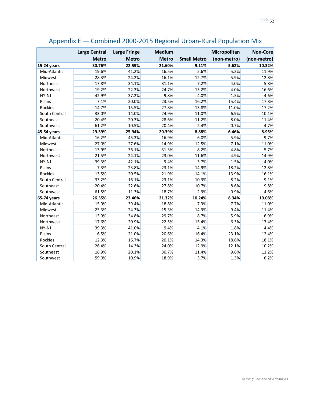<span id="page-61-0"></span>

|               | <b>Large Central</b> | <b>Large Fringe</b> | <b>Medium</b> |                    | Micropolitan | <b>Non-Core</b> |
|---------------|----------------------|---------------------|---------------|--------------------|--------------|-----------------|
|               | <b>Metro</b>         | <b>Metro</b>        | <b>Metro</b>  | <b>Small Metro</b> | (non-metro)  | (non-metro)     |
| 15-24 years   | 30.76%               | 22.59%              | 21.60%        | 9.11%              | 5.62%        | 10.32%          |
| Mid-Atlantic  | 19.6%                | 41.2%               | 16.5%         | 5.6%               | 5.2%         | 11.9%           |
| Midwest       | 28.3%                | 24.2%               | 16.1%         | 12.7%              | 5.9%         | 12.8%           |
| Northeast     | 17.8%                | 34.1%               | 31.1%         | 7.2%               | 4.0%         | 5.8%            |
| Northwest     | 19.2%                | 22.3%               | 24.7%         | 13.2%              | 4.0%         | 16.6%           |
| NY-NJ         | 42.9%                | 37.2%               | 9.8%          | 4.0%               | 1.5%         | 4.6%            |
| Plains        | 7.1%                 | 20.0%               | 23.5%         | 16.2%              | 15.4%        | 17.8%           |
| Rockies       | 14.7%                | 15.5%               | 27.8%         | 13.8%              | 11.0%        | 17.2%           |
| South Central | 33.0%                | 14.0%               | 24.9%         | 11.0%              | 6.9%         | 10.1%           |
| Southeast     | 20.4%                | 20.3%               | 28.6%         | 11.2%              | 8.0%         | 11.4%           |
| Southwest     | 61.2%                | 10.5%               | 20.4%         | 2.4%               | 0.7%         | 4.7%            |
| 45-54 years   | 29.39%               | 25.94%              | 20.39%        | 8.88%              | 6.46%        | 8.95%           |
| Mid-Atlantic  | 16.2%                | 45.3%               | 16.9%         | 6.0%               | 5.9%         | 9.7%            |
| Midwest       | 27.0%                | 27.6%               | 14.9%         | 12.5%              | 7.1%         | 11.0%           |
| Northeast     | 13.9%                | 36.1%               | 31.3%         | 8.2%               | 4.8%         | 5.7%            |
| Northwest     | 21.5%                | 24.1%               | 23.0%         | 11.6%              | 4.9%         | 14.9%           |
| NY-NJ         | 39.3%                | 42.1%               | 9.4%          | 3.7%               | 1.5%         | 4.0%            |
| Plains        | 7.3%                 | 23.8%               | 23.1%         | 14.9%              | 18.2%        | 12.8%           |
| Rockies       | 13.5%                | 20.5%               | 21.9%         | 14.1%              | 13.9%        | 16.1%           |
| South Central | 33.2%                | 16.1%               | 23.1%         | 10.3%              | 8.2%         | 9.1%            |
| Southeast     | 20.4%                | 22.6%               | 27.8%         | 10.7%              | 8.6%         | 9.8%            |
| Southwest     | 61.5%                | 11.3%               | 18.7%         | 2.9%               | 0.9%         | 4.6%            |
| 65-74 years   | 26.55%               | 23.46%              | 21.32%        | 10.24%             | 8.34%        | 10.08%          |
| Mid-Atlantic  | 15.9%                | 39.4%               | 18.8%         | 7.3%               | 7.7%         | 11.0%           |
| Midwest       | 25.3%                | 24.3%               | 15.3%         | 14.3%              | 9.4%         | 11.4%           |
| Northeast     | 13.9%                | 34.8%               | 29.7%         | 8.7%               | 5.9%         | 6.9%            |
| Northwest     | 17.6%                | 20.9%               | 22.5%         | 15.4%              | 6.3%         | 17.4%           |
| NY-NJ         | 39.3%                | 41.0%               | 9.4%          | 4.1%               | 1.8%         | 4.4%            |
| Plains        | 6.5%                 | 21.0%               | 20.6%         | 16.4%              | 23.1%        | 12.4%           |
| Rockies       | 12.3%                | 16.7%               | 20.1%         | 14.3%              | 18.6%        | 18.1%           |
| South Central | 26.4%                | 14.3%               | 24.0%         | 12.9%              | 12.1%        | 10.2%           |
| Southeast     | 16.9%                | 20.1%               | 30.7%         | 11.4%              | 9.6%         | 11.2%           |
| Southwest     | 59.0%                | 10.9%               | 18.9%         | 3.7%               | 1.3%         | 6.2%            |

# Appendix E — Combined 2000-2015 Regional Urban-Rural Population Mix